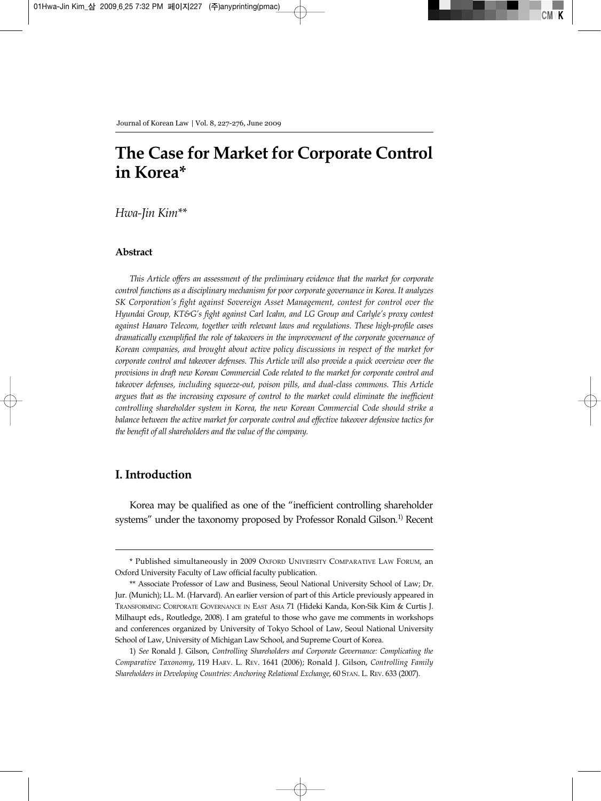# **The Case for Market for Corporate Control in Korea\***

*Hwa-Jin Kim\*\**

### **Abstract**

*This Article offers an assessment of the preliminary evidence that the market for corporate control functions as a disciplinary mechanism for poor corporate governance in Korea. It analyzes SK Corporation's fight against Sovereign Asset Management, contest for control over the Hyundai Group, KT&G's fight against Carl Icahn, and LG Group and Carlyle's proxy contest against Hanaro Telecom, together with relevant laws and regulations. These high-profile cases dramatically exemplified the role of takeovers in the improvement of the corporate governance of Korean companies, and brought about active policy discussions in respect of the market for corporate control and takeover defenses. This Article will also provide a quick overview over the provisions in draft new Korean Commercial Code related to the market for corporate control and takeover defenses, including squeeze-out, poison pills, and dual-class commons. This Article argues that as the increasing exposure of control to the market could eliminate the inefficient controlling shareholder system in Korea, the new Korean Commercial Code should strike a balance between the active market for corporate control and effective takeover defensive tactics for the benefit of all shareholders and the value of the company.*

# **I. Introduction**

Korea may be qualified as one of the "inefficient controlling shareholder systems" under the taxonomy proposed by Professor Ronald Gilson.<sup>1)</sup> Recent

<sup>\*</sup> Published simultaneously in 2009 OXFORD UNIVERSITY COMPARATIVE LAW FORUM, an Oxford University Faculty of Law official faculty publication.

<sup>\*\*</sup> Associate Professor of Law and Business, Seoul National University School of Law; Dr. Jur. (Munich); LL. M. (Harvard). An earlier version of part of this Article previously appeared in TRANSFORMING CORPORATE GOVERNANCE IN EAST ASIA 71 (Hideki Kanda, Kon-Sik Kim & Curtis J. Milhaupt eds., Routledge, 2008). I am grateful to those who gave me comments in workshops and conferences organized by University of Tokyo School of Law, Seoul National University School of Law, University of Michigan Law School, and Supreme Court of Korea.

<sup>1)</sup> *See* Ronald J. Gilson, *Controlling Shareholders and Corporate Governance: Complicating the Comparative Taxonomy*, 119 HARV. L. REV. 1641 (2006); Ronald J. Gilson, *Controlling Family Shareholders in Developing Countries: Anchoring Relational Exchange*, 60 STAN. L. REV. 633 (2007).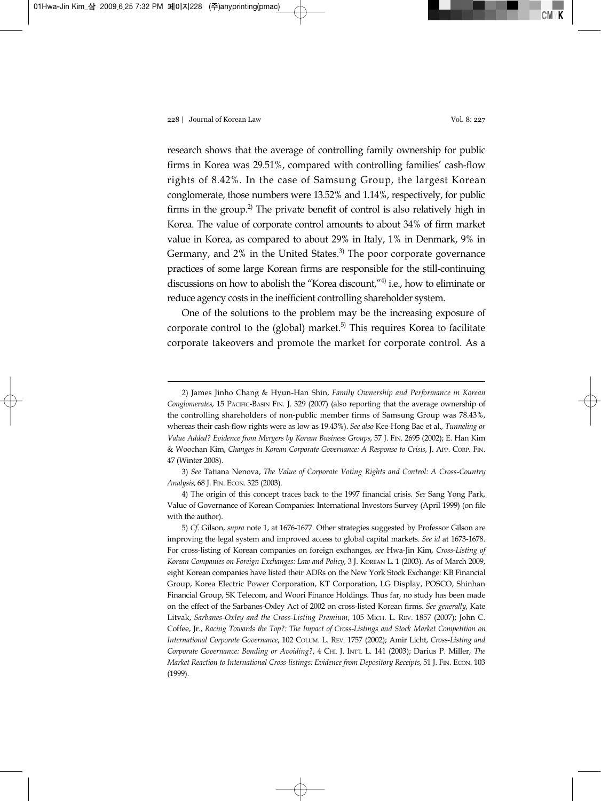research shows that the average of controlling family ownership for public firms in Korea was 29.51%, compared with controlling families' cash-flow rights of 8.42%. In the case of Samsung Group, the largest Korean conglomerate, those numbers were 13.52% and 1.14%, respectively, for public firms in the group.<sup>2)</sup> The private benefit of control is also relatively high in Korea. The value of corporate control amounts to about 34% of firm market value in Korea, as compared to about 29% in Italy, 1% in Denmark, 9% in Germany, and  $2\%$  in the United States.<sup>3)</sup> The poor corporate governance practices of some large Korean firms are responsible for the still-continuing discussions on how to abolish the "Korea discount,"4) i.e., how to eliminate or reduce agency costs in the inefficient controlling shareholder system.

One of the solutions to the problem may be the increasing exposure of corporate control to the (global) market.<sup>5)</sup> This requires Korea to facilitate corporate takeovers and promote the market for corporate control. As a

<sup>2)</sup> James Jinho Chang & Hyun-Han Shin, *Family Ownership and Performance in Korean Conglomerates*, 15 PACIFIC-BASIN FIN. J. 329 (2007) (also reporting that the average ownership of the controlling shareholders of non-public member firms of Samsung Group was 78.43%, whereas their cash-flow rights were as low as 19.43%). *See also* Kee-Hong Bae et al., *Tunneling or Value Added? Evidence from Mergers by Korean Business Groups*, 57 J. FIN. 2695 (2002); E. Han Kim & Woochan Kim, *Changes in Korean Corporate Governance: A Response to Crisis*, J. APP. CORP. FIN. 47 (Winter 2008).

<sup>3)</sup> *See* Tatiana Nenova, *The Value of Corporate Voting Rights and Control: A Cross-Country Analysis*, 68 J. FIN. ECON. 325 (2003).

<sup>4)</sup> The origin of this concept traces back to the 1997 financial crisis. *See* Sang Yong Park, Value of Governance of Korean Companies: International Investors Survey (April 1999) (on file with the author).

<sup>5)</sup> *Cf*. Gilson, *supra* note 1, at 1676-1677. Other strategies suggested by Professor Gilson are improving the legal system and improved access to global capital markets. *See id* at 1673-1678. For cross-listing of Korean companies on foreign exchanges, *see* Hwa-Jin Kim, *Cross-Listing of Korean Companies on Foreign Exchanges: Law and Policy*, 3 J. KOREAN L. 1 (2003). As of March 2009, eight Korean companies have listed their ADRs on the New York Stock Exchange: KB Financial Group, Korea Electric Power Corporation, KT Corporation, LG Display, POSCO, Shinhan Financial Group, SK Telecom, and Woori Finance Holdings. Thus far, no study has been made on the effect of the Sarbanes-Oxley Act of 2002 on cross-listed Korean firms. *See generally*, Kate Litvak, *Sarbanes-Oxley and the Cross-Listing Premium*, 105 MICH. L. REV. 1857 (2007); John C. Coffee, Jr., *Racing Towards the Top?: The Impact of Cross-Listings and Stock Market Competition on International Corporate Governance*, 102 COLUM. L. REV. 1757 (2002); Amir Licht, *Cross-Listing and Corporate Governance: Bonding or Avoiding?*, 4 CHI. J. INT'L L. 141 (2003); Darius P. Miller, *The Market Reaction to International Cross-listings: Evidence from Depository Receipts*, 51 J. FIN. ECON. 103 (1999).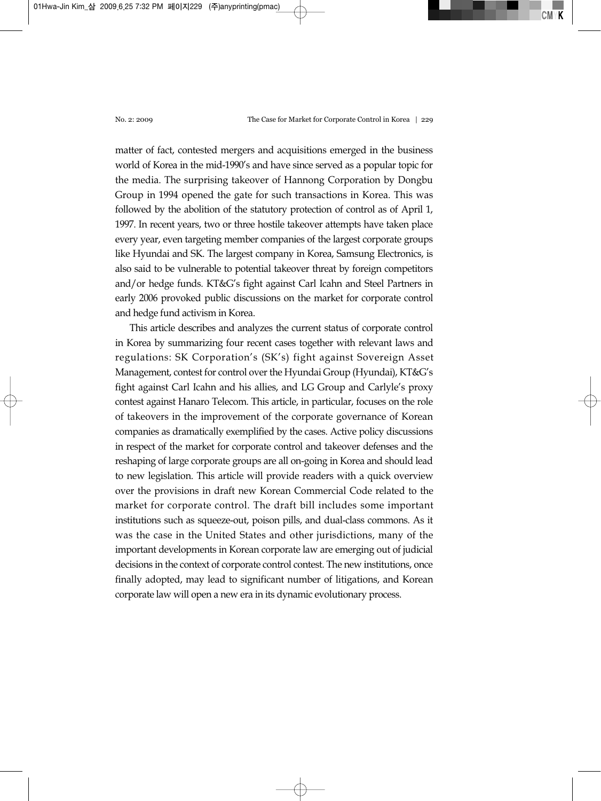matter of fact, contested mergers and acquisitions emerged in the business world of Korea in the mid-1990's and have since served as a popular topic for the media. The surprising takeover of Hannong Corporation by Dongbu Group in 1994 opened the gate for such transactions in Korea. This was followed by the abolition of the statutory protection of control as of April 1, 1997. In recent years, two or three hostile takeover attempts have taken place every year, even targeting member companies of the largest corporate groups like Hyundai and SK. The largest company in Korea, Samsung Electronics, is also said to be vulnerable to potential takeover threat by foreign competitors and/or hedge funds. KT&G's fight against Carl Icahn and Steel Partners in early 2006 provoked public discussions on the market for corporate control and hedge fund activism in Korea.

This article describes and analyzes the current status of corporate control in Korea by summarizing four recent cases together with relevant laws and regulations: SK Corporation's (SK's) fight against Sovereign Asset Management, contest for control over the Hyundai Group (Hyundai), KT&G's fight against Carl Icahn and his allies, and LG Group and Carlyle's proxy contest against Hanaro Telecom. This article, in particular, focuses on the role of takeovers in the improvement of the corporate governance of Korean companies as dramatically exemplified by the cases. Active policy discussions in respect of the market for corporate control and takeover defenses and the reshaping of large corporate groups are all on-going in Korea and should lead to new legislation. This article will provide readers with a quick overview over the provisions in draft new Korean Commercial Code related to the market for corporate control. The draft bill includes some important institutions such as squeeze-out, poison pills, and dual-class commons. As it was the case in the United States and other jurisdictions, many of the important developments in Korean corporate law are emerging out of judicial decisions in the context of corporate control contest. The new institutions, once finally adopted, may lead to significant number of litigations, and Korean corporate law will open a new era in its dynamic evolutionary process.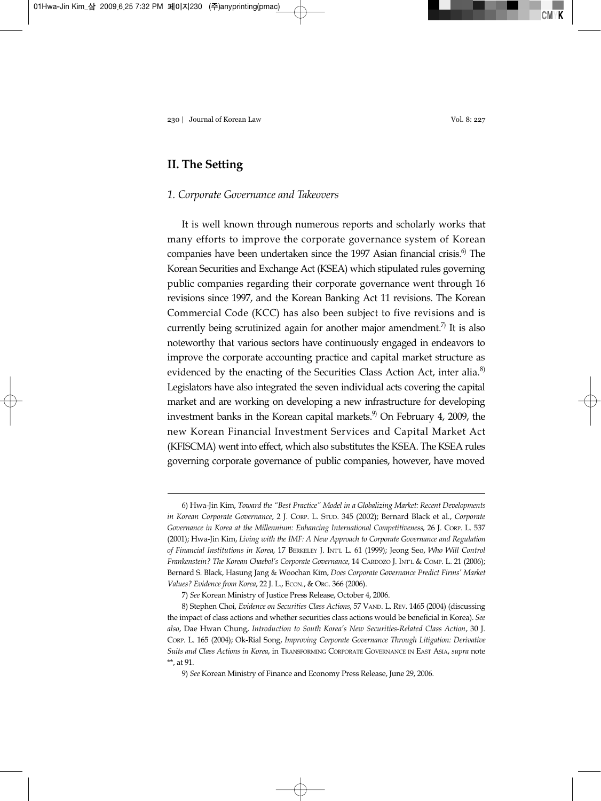# **II. The Setting**

# *1. Corporate Governance and Takeovers*

It is well known through numerous reports and scholarly works that many efforts to improve the corporate governance system of Korean companies have been undertaken since the 1997 Asian financial crisis.<sup>6)</sup> The Korean Securities and Exchange Act (KSEA) which stipulated rules governing public companies regarding their corporate governance went through 16 revisions since 1997, and the Korean Banking Act 11 revisions. The Korean Commercial Code (KCC) has also been subject to five revisions and is currently being scrutinized again for another major amendment.<sup>7)</sup> It is also noteworthy that various sectors have continuously engaged in endeavors to improve the corporate accounting practice and capital market structure as evidenced by the enacting of the Securities Class Action Act, inter alia.<sup>8)</sup> Legislators have also integrated the seven individual acts covering the capital market and are working on developing a new infrastructure for developing investment banks in the Korean capital markets. $9$  On February 4, 2009, the new Korean Financial Investment Services and Capital Market Act (KFISCMA) went into effect, which also substitutes the KSEA. The KSEA rules governing corporate governance of public companies, however, have moved

<sup>6)</sup> Hwa-Jin Kim, *Toward the "Best Practice" Model in a Globalizing Market: Recent Developments in Korean Corporate Governance*, 2 J. CORP. L. STUD. 345 (2002); Bernard Black et al., *Corporate Governance in Korea at the Millennium: Enhancing International Competitiveness*, 26 J. CORP. L. 537 (2001); Hwa-Jin Kim, *Living with the IMF: A New Approach to Corporate Governance and Regulation of Financial Institutions in Korea*, 17 BERKELEY J. INT'L L. 61 (1999); Jeong Seo, *Who Will Control Frankenstein? The Korean Chaebol's Corporate Governance*, 14 CARDOZO J. INT'L & COMP. L. 21 (2006); Bernard S. Black, Hasung Jang & Woochan Kim, *Does Corporate Governance Predict Firms' Market Values? Evidence from Korea*, 22 J. L., ECON., & ORG. 366 (2006).

<sup>7)</sup> *See* Korean Ministry of Justice Press Release, October 4, 2006.

<sup>8)</sup> Stephen Choi, *Evidence on Securities Class Actions*, 57 VAND. L. REV. 1465 (2004) (discussing the impact of class actions and whether securities class actions would be beneficial in Korea). *See also*, Dae Hwan Chung, *Introduction to South Korea's New Securities-Related Class Action*, 30 J. CORP. L. 165 (2004); Ok-Rial Song, *Improving Corporate Governance Through Litigation: Derivative Suits and Class Actions in Korea*, in TRANSFORMING CORPORATE GOVERNANCE IN EAST ASIA, *supra* note \*\*, at 91.

<sup>9)</sup> *See* Korean Ministry of Finance and Economy Press Release, June 29, 2006.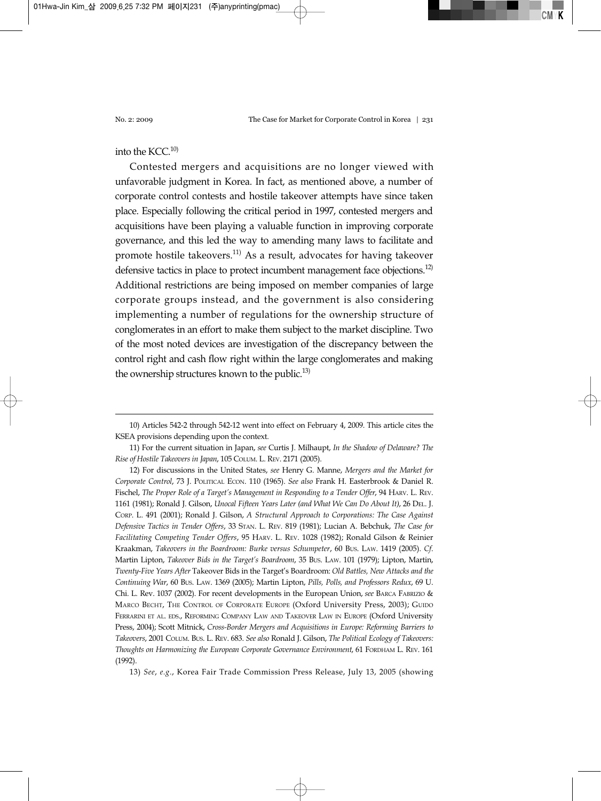### into the  $KCC$ <sup>10)</sup>

Contested mergers and acquisitions are no longer viewed with unfavorable judgment in Korea. In fact, as mentioned above, a number of corporate control contests and hostile takeover attempts have since taken place. Especially following the critical period in 1997, contested mergers and acquisitions have been playing a valuable function in improving corporate governance, and this led the way to amending many laws to facilitate and promote hostile takeovers.<sup>11)</sup> As a result, advocates for having takeover defensive tactics in place to protect incumbent management face objections.<sup>12)</sup> Additional restrictions are being imposed on member companies of large corporate groups instead, and the government is also considering implementing a number of regulations for the ownership structure of conglomerates in an effort to make them subject to the market discipline. Two of the most noted devices are investigation of the discrepancy between the control right and cash flow right within the large conglomerates and making the ownership structures known to the public.<sup>13)</sup>

<sup>10)</sup> Articles 542-2 through 542-12 went into effect on February 4, 2009. This article cites the KSEA provisions depending upon the context.

<sup>11)</sup> For the current situation in Japan, *see* Curtis J. Milhaupt, *In the Shadow of Delaware? The Rise of Hostile Takeovers in Japan*, 105 COLUM. L. REV. 2171 (2005).

<sup>12)</sup> For discussions in the United States, *see* Henry G. Manne, *Mergers and the Market for Corporate Control*, 73 J. POLITICAL ECON. 110 (1965). *See also* Frank H. Easterbrook & Daniel R. Fischel, *The Proper Role of a Target's Management in Responding to a Tender Offer*, 94 HARV. L. REV. 1161 (1981); Ronald J. Gilson, *Unocal Fifteen Years Later (and What We Can Do About It)*, 26 DEL. J. CORP. L. 491 (2001); Ronald J. Gilson, *A Structural Approach to Corporations: The Case Against Defensive Tactics in Tender Offers*, 33 STAN. L. REV. 819 (1981); Lucian A. Bebchuk, *The Case for Facilitating Competing Tender Offers*, 95 HARV. L. REV. 1028 (1982); Ronald Gilson & Reinier Kraakman, *Takeovers in the Boardroom: Burke versus Schumpeter*, 60 BUS. LAW. 1419 (2005). *Cf*. Martin Lipton, *Takeover Bids in the Target's Boardroom*, 35 BUS. LAW. 101 (1979); Lipton, Martin, *Twenty-Five Years After* Takeover Bids in the Target's Boardroom: *Old Battles, New Attacks and the Continuing War*, 60 BUS. LAW. 1369 (2005); Martin Lipton, *Pills, Polls, and Professors Redux*, 69 U. Chi. L. Rev. 1037 (2002). For recent developments in the European Union, *see* BARCA FABRIZIO & MARCO BECHT, THE CONTROL OF CORPORATE EUROPE (Oxford University Press, 2003); GUIDO FERRARINI ET AL. EDS., REFORMING COMPANY LAW AND TAKEOVER LAW IN EUROPE (Oxford University Press, 2004); Scott Mitnick, *Cross-Border Mergers and Acquisitions in Europe: Reforming Barriers to Takeovers*, 2001 COLUM. BUS. L. REV. 683. *See also* Ronald J. Gilson, *The Political Ecology of Takeovers: Thoughts on Harmonizing the European Corporate Governance Environment*, 61 FORDHAM L. REV. 161 (1992).

<sup>13)</sup> *See*, *e.g*., Korea Fair Trade Commission Press Release, July 13, 2005 (showing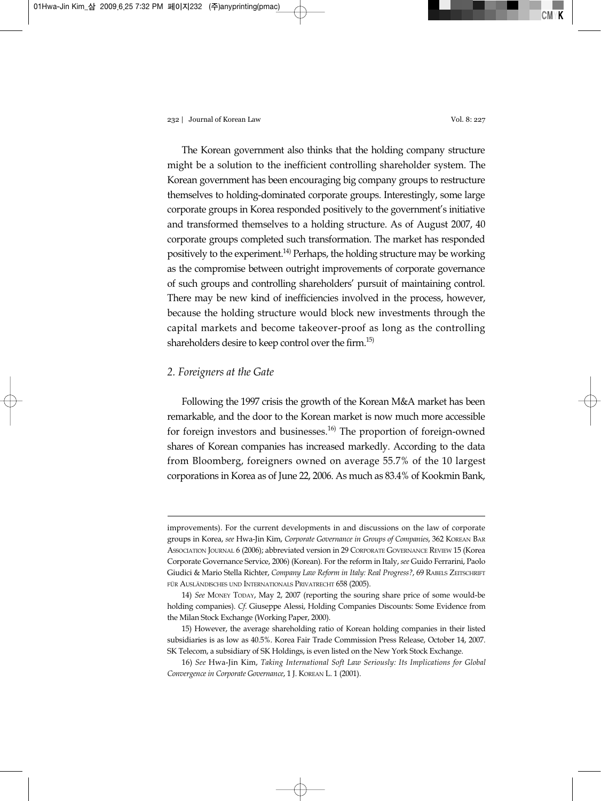The Korean government also thinks that the holding company structure might be a solution to the inefficient controlling shareholder system. The Korean government has been encouraging big company groups to restructure themselves to holding-dominated corporate groups. Interestingly, some large corporate groups in Korea responded positively to the government's initiative and transformed themselves to a holding structure. As of August 2007, 40 corporate groups completed such transformation. The market has responded positively to the experiment.<sup>14)</sup> Perhaps, the holding structure may be working as the compromise between outright improvements of corporate governance of such groups and controlling shareholders' pursuit of maintaining control. There may be new kind of inefficiencies involved in the process, however, because the holding structure would block new investments through the capital markets and become takeover-proof as long as the controlling shareholders desire to keep control over the firm.<sup>15)</sup>

### *2. Foreigners at the Gate*

Following the 1997 crisis the growth of the Korean M&A market has been remarkable, and the door to the Korean market is now much more accessible for foreign investors and businesses.<sup>16)</sup> The proportion of foreign-owned shares of Korean companies has increased markedly. According to the data from Bloomberg, foreigners owned on average 55.7% of the 10 largest corporations in Korea as of June 22, 2006. As much as 83.4% of Kookmin Bank,

improvements). For the current developments in and discussions on the law of corporate groups in Korea, *see* Hwa-Jin Kim, *Corporate Governance in Groups of Companies*, 362 KOREAN BAR ASSOCIATION JOURNAL 6 (2006); abbreviated version in 29 CORPORATE GOVERNANCE REVIEW 15 (Korea Corporate Governance Service, 2006) (Korean). For the reform in Italy, *see* Guido Ferrarini, Paolo Giudici & Mario Stella Richter, *Company Law Reform in Italy: Real Progress?*, 69 RABELS ZEITSCHRIFT FÜR AUSLÄNDISCHES UND INTERNATIONALS PRIVATRECHT 658 (2005).

<sup>14)</sup> *See* MONEY TODAY, May 2, 2007 (reporting the souring share price of some would-be holding companies). *Cf*. Giuseppe Alessi, Holding Companies Discounts: Some Evidence from the Milan Stock Exchange (Working Paper, 2000).

<sup>15)</sup> However, the average shareholding ratio of Korean holding companies in their listed subsidiaries is as low as 40.5%. Korea Fair Trade Commission Press Release, October 14, 2007. SK Telecom, a subsidiary of SK Holdings, is even listed on the New York Stock Exchange.

<sup>16)</sup> *See* Hwa-Jin Kim, *Taking International Soft Law Seriously: Its Implications for Global Convergence in Corporate Governance*, 1 J. KOREAN L. 1 (2001).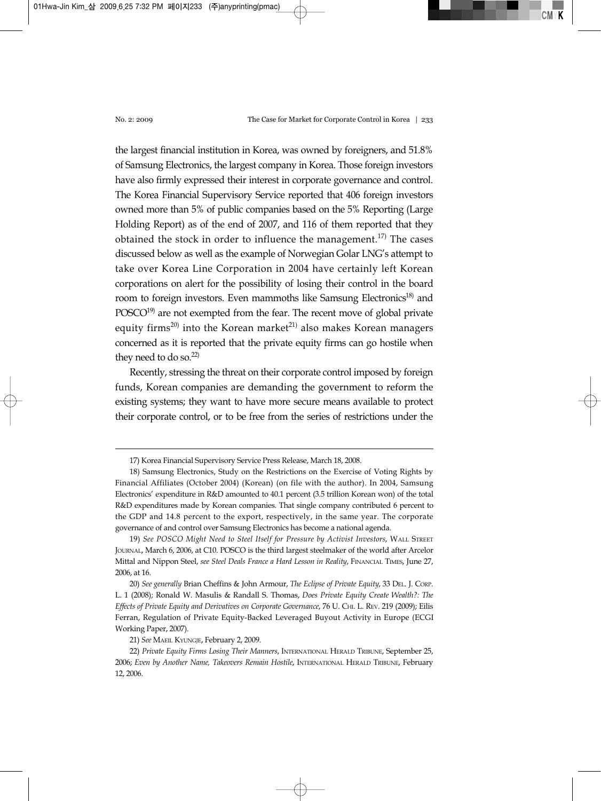the largest financial institution in Korea, was owned by foreigners, and 51.8% of Samsung Electronics, the largest company in Korea. Those foreign investors have also firmly expressed their interest in corporate governance and control. The Korea Financial Supervisory Service reported that 406 foreign investors owned more than 5% of public companies based on the 5% Reporting (Large Holding Report) as of the end of 2007, and 116 of them reported that they obtained the stock in order to influence the management.<sup>17)</sup> The cases discussed below as well as the example of Norwegian Golar LNG's attempt to take over Korea Line Corporation in 2004 have certainly left Korean corporations on alert for the possibility of losing their control in the board room to foreign investors. Even mammoths like Samsung Electronics<sup>18)</sup> and  $POSCO<sup>19)</sup>$  are not exempted from the fear. The recent move of global private equity firms<sup>20)</sup> into the Korean market<sup>21)</sup> also makes Korean managers concerned as it is reported that the private equity firms can go hostile when they need to do so. $^{22)}$ 

Recently, stressing the threat on their corporate control imposed by foreign funds, Korean companies are demanding the government to reform the existing systems; they want to have more secure means available to protect their corporate control, or to be free from the series of restrictions under the

<sup>17)</sup> Korea Financial Supervisory Service Press Release, March 18, 2008.

<sup>18)</sup> Samsung Electronics, Study on the Restrictions on the Exercise of Voting Rights by Financial Affiliates (October 2004) (Korean) (on file with the author). In 2004, Samsung Electronics' expenditure in R&D amounted to 40.1 percent (3.5 trillion Korean won) of the total R&D expenditures made by Korean companies. That single company contributed 6 percent to the GDP and 14.8 percent to the export, respectively, in the same year. The corporate governance of and control over Samsung Electronics has become a national agenda.

<sup>19)</sup> *See POSCO Might Need to Steel Itself for Pressure by Activist Investors*, WALL STREET JOURNAL, March 6, 2006, at C10. POSCO is the third largest steelmaker of the world after Arcelor Mittal and Nippon Steel, see Steel Deals France a Hard Lesson in Reality, FINANCIAL TIMES, June 27, 2006, at 16.

<sup>20)</sup> *See generally* Brian Cheffins & John Armour, *The Eclipse of Private Equity*, 33 DEL. J. CORP. L. 1 (2008); Ronald W. Masulis & Randall S. Thomas, *Does Private Equity Create Wealth?: The Effects of Private Equity and Derivatives on Corporate Governance*, 76 U. CHI. L. REV. 219 (2009); Eilis Ferran, Regulation of Private Equity-Backed Leveraged Buyout Activity in Europe (ECGI Working Paper, 2007).

<sup>21)</sup> *See* MAEIL KYUNGJE, February 2, 2009.

<sup>22)</sup> Private Equity Firms Losing Their Manners, INTERNATIONAL HERALD TRIBUNE, September 25, 2006; *Even by Another Name, Takeovers Remain Hostile*, INTERNATIONAL HERALD TRIBUNE, February 12, 2006.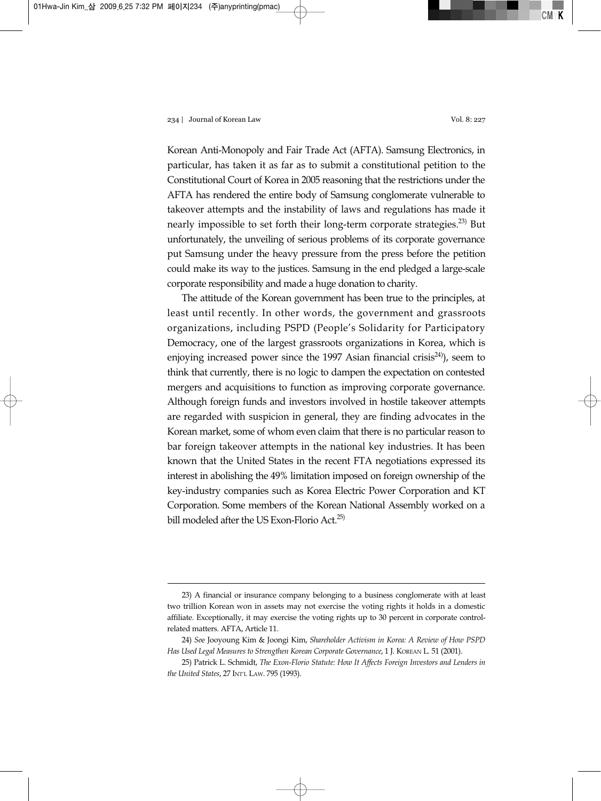Korean Anti-Monopoly and Fair Trade Act (AFTA). Samsung Electronics, in particular, has taken it as far as to submit a constitutional petition to the Constitutional Court of Korea in 2005 reasoning that the restrictions under the AFTA has rendered the entire body of Samsung conglomerate vulnerable to takeover attempts and the instability of laws and regulations has made it nearly impossible to set forth their long-term corporate strategies.<sup>23)</sup> But unfortunately, the unveiling of serious problems of its corporate governance put Samsung under the heavy pressure from the press before the petition

could make its way to the justices. Samsung in the end pledged a large-scale

corporate responsibility and made a huge donation to charity.

The attitude of the Korean government has been true to the principles, at least until recently. In other words, the government and grassroots organizations, including PSPD (People's Solidarity for Participatory Democracy, one of the largest grassroots organizations in Korea, which is enjoying increased power since the 1997 Asian financial crisis<sup>24</sup>), seem to think that currently, there is no logic to dampen the expectation on contested mergers and acquisitions to function as improving corporate governance. Although foreign funds and investors involved in hostile takeover attempts are regarded with suspicion in general, they are finding advocates in the Korean market, some of whom even claim that there is no particular reason to bar foreign takeover attempts in the national key industries. It has been known that the United States in the recent FTA negotiations expressed its interest in abolishing the 49% limitation imposed on foreign ownership of the key-industry companies such as Korea Electric Power Corporation and KT Corporation. Some members of the Korean National Assembly worked on a bill modeled after the US Exon-Florio Act.<sup>25)</sup>

<sup>23)</sup> A financial or insurance company belonging to a business conglomerate with at least two trillion Korean won in assets may not exercise the voting rights it holds in a domestic affiliate. Exceptionally, it may exercise the voting rights up to 30 percent in corporate controlrelated matters. AFTA, Article 11.

<sup>24)</sup> *Se*e Jooyoung Kim & Joongi Kim, *Shareholder Activism in Korea: A Review of How PSPD Has Used Legal Measures to Strengthen Korean Corporate Governance*, 1 J. KOREAN L. 51 (2001).

<sup>25)</sup> Patrick L. Schmidt, *The Exon-Florio Statute: How It Affects Foreign Investors and Lenders in the United States*, 27 INT'L LAW. 795 (1993).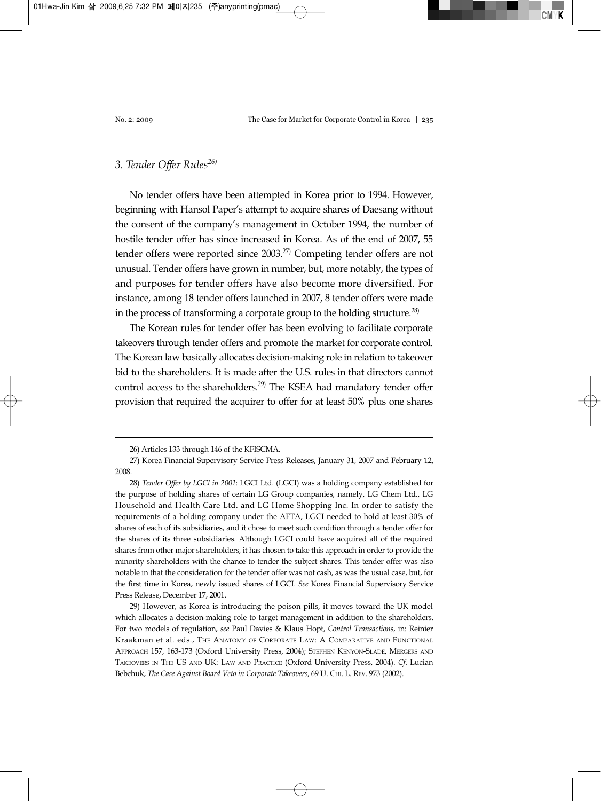# *3. Tender Offer Rules26)*

No tender offers have been attempted in Korea prior to 1994. However, beginning with Hansol Paper's attempt to acquire shares of Daesang without the consent of the company's management in October 1994, the number of hostile tender offer has since increased in Korea. As of the end of 2007, 55 tender offers were reported since  $2003$ .<sup>27)</sup> Competing tender offers are not unusual. Tender offers have grown in number, but, more notably, the types of and purposes for tender offers have also become more diversified. For instance, among 18 tender offers launched in 2007, 8 tender offers were made in the process of transforming a corporate group to the holding structure.<sup>28)</sup>

The Korean rules for tender offer has been evolving to facilitate corporate takeovers through tender offers and promote the market for corporate control. The Korean law basically allocates decision-making role in relation to takeover bid to the shareholders. It is made after the U.S. rules in that directors cannot control access to the shareholders.<sup>29</sup> The KSEA had mandatory tender offer provision that required the acquirer to offer for at least 50% plus one shares

<sup>26)</sup> Articles 133 through 146 of the KFISCMA.

<sup>27)</sup> Korea Financial Supervisory Service Press Releases, January 31, 2007 and February 12, 2008.

<sup>28)</sup> *Tender Offer by LGCI in 2001*: LGCI Ltd. (LGCI) was a holding company established for the purpose of holding shares of certain LG Group companies, namely, LG Chem Ltd., LG Household and Health Care Ltd. and LG Home Shopping Inc. In order to satisfy the requirements of a holding company under the AFTA, LGCI needed to hold at least 30% of shares of each of its subsidiaries, and it chose to meet such condition through a tender offer for the shares of its three subsidiaries. Although LGCI could have acquired all of the required shares from other major shareholders, it has chosen to take this approach in order to provide the minority shareholders with the chance to tender the subject shares. This tender offer was also notable in that the consideration for the tender offer was not cash, as was the usual case, but, for the first time in Korea, newly issued shares of LGCI. *See* Korea Financial Supervisory Service Press Release, December 17, 2001.

<sup>29)</sup> However, as Korea is introducing the poison pills, it moves toward the UK model which allocates a decision-making role to target management in addition to the shareholders. For two models of regulation, *see* Paul Davies & Klaus Hopt, *Control Transactions*, in: Reinier Kraakman et al. eds., THE ANATOMY OF CORPORATE LAW: A COMPARATIVE AND FUNCTIONAL APPROACH 157, 163-173 (Oxford University Press, 2004); STEPHEN KENYON-SLADE, MERGERS AND TAKEOVERS IN THE US AND UK: LAW AND PRACTICE (Oxford University Press, 2004). *Cf*. Lucian Bebchuk, *The Case Against Board Veto in Corporate Takeovers*, 69 U. CHI. L. REV. 973 (2002).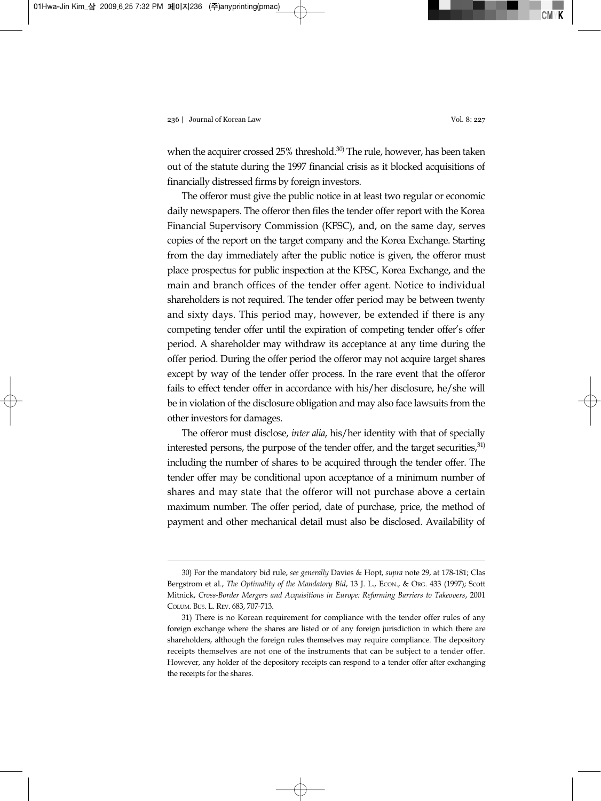when the acquirer crossed  $25\%$  threshold.<sup>30)</sup> The rule, however, has been taken out of the statute during the 1997 financial crisis as it blocked acquisitions of financially distressed firms by foreign investors.

The offeror must give the public notice in at least two regular or economic daily newspapers. The offeror then files the tender offer report with the Korea Financial Supervisory Commission (KFSC), and, on the same day, serves copies of the report on the target company and the Korea Exchange. Starting from the day immediately after the public notice is given, the offeror must place prospectus for public inspection at the KFSC, Korea Exchange, and the main and branch offices of the tender offer agent. Notice to individual shareholders is not required. The tender offer period may be between twenty and sixty days. This period may, however, be extended if there is any competing tender offer until the expiration of competing tender offer's offer period. A shareholder may withdraw its acceptance at any time during the offer period. During the offer period the offeror may not acquire target shares except by way of the tender offer process. In the rare event that the offeror fails to effect tender offer in accordance with his/her disclosure, he/she will be in violation of the disclosure obligation and may also face lawsuits from the other investors for damages.

The offeror must disclose, *inter alia*, his/her identity with that of specially interested persons, the purpose of the tender offer, and the target securities,<sup>31)</sup> including the number of shares to be acquired through the tender offer. The tender offer may be conditional upon acceptance of a minimum number of shares and may state that the offeror will not purchase above a certain maximum number. The offer period, date of purchase, price, the method of payment and other mechanical detail must also be disclosed. Availability of

<sup>30)</sup> For the mandatory bid rule, *see generally* Davies & Hopt, *supra* note 29, at 178-181; Clas Bergstrom et al., *The Optimality of the Mandatory Bid*, 13 J. L., ECON., & ORG. 433 (1997); Scott Mitnick, *Cross-Border Mergers and Acquisitions in Europe: Reforming Barriers to Takeovers*, 2001 COLUM. BUS. L. REV. 683, 707-713.

<sup>31)</sup> There is no Korean requirement for compliance with the tender offer rules of any foreign exchange where the shares are listed or of any foreign jurisdiction in which there are shareholders, although the foreign rules themselves may require compliance. The depository receipts themselves are not one of the instruments that can be subject to a tender offer. However, any holder of the depository receipts can respond to a tender offer after exchanging the receipts for the shares.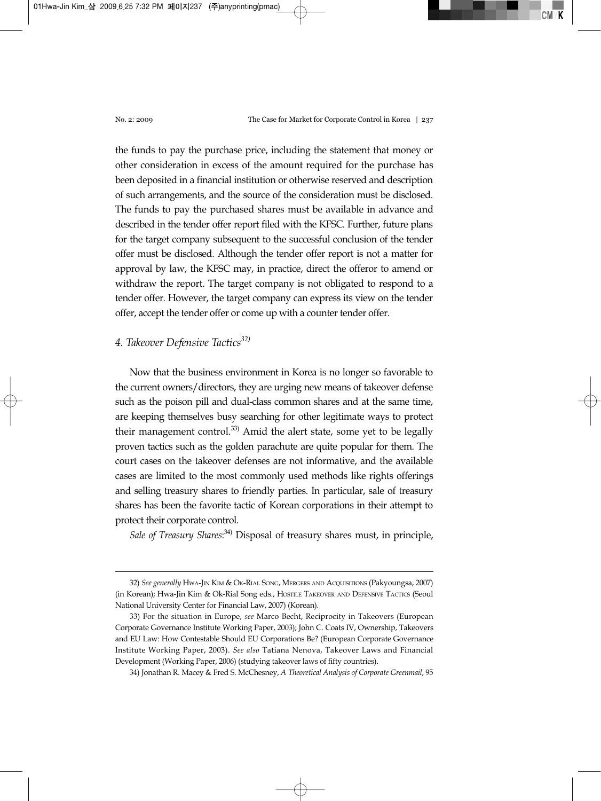the funds to pay the purchase price, including the statement that money or other consideration in excess of the amount required for the purchase has been deposited in a financial institution or otherwise reserved and description of such arrangements, and the source of the consideration must be disclosed. The funds to pay the purchased shares must be available in advance and described in the tender offer report filed with the KFSC. Further, future plans for the target company subsequent to the successful conclusion of the tender offer must be disclosed. Although the tender offer report is not a matter for approval by law, the KFSC may, in practice, direct the offeror to amend or withdraw the report. The target company is not obligated to respond to a tender offer. However, the target company can express its view on the tender offer, accept the tender offer or come up with a counter tender offer.

# *4. Takeover Defensive Tactics32)*

Now that the business environment in Korea is no longer so favorable to the current owners/directors, they are urging new means of takeover defense such as the poison pill and dual-class common shares and at the same time, are keeping themselves busy searching for other legitimate ways to protect their management control. $^{33)}$  Amid the alert state, some yet to be legally proven tactics such as the golden parachute are quite popular for them. The court cases on the takeover defenses are not informative, and the available cases are limited to the most commonly used methods like rights offerings and selling treasury shares to friendly parties. In particular, sale of treasury shares has been the favorite tactic of Korean corporations in their attempt to protect their corporate control.

*Sale of Treasury Shares*: 34) Disposal of treasury shares must, in principle,

34) Jonathan R. Macey & Fred S. McChesney, *A Theoretical Analysis of Corporate Greenmail*, 95

<sup>32)</sup> *See generally* HWA-JIN KIM & OK-RIAL SONG, MERGERS AND ACQUISITIONS (Pakyoungsa, 2007) (in Korean); Hwa-Jin Kim & Ok-Rial Song eds., HOSTILE TAKEOVER AND DEFENSIVE TACTICS (Seoul National University Center for Financial Law, 2007) (Korean).

<sup>33)</sup> For the situation in Europe, *see* Marco Becht, Reciprocity in Takeovers (European Corporate Governance Institute Working Paper, 2003); John C. Coats IV, Ownership, Takeovers and EU Law: How Contestable Should EU Corporations Be? (European Corporate Governance Institute Working Paper, 2003). *See also* Tatiana Nenova, Takeover Laws and Financial Development (Working Paper, 2006) (studying takeover laws of fifty countries).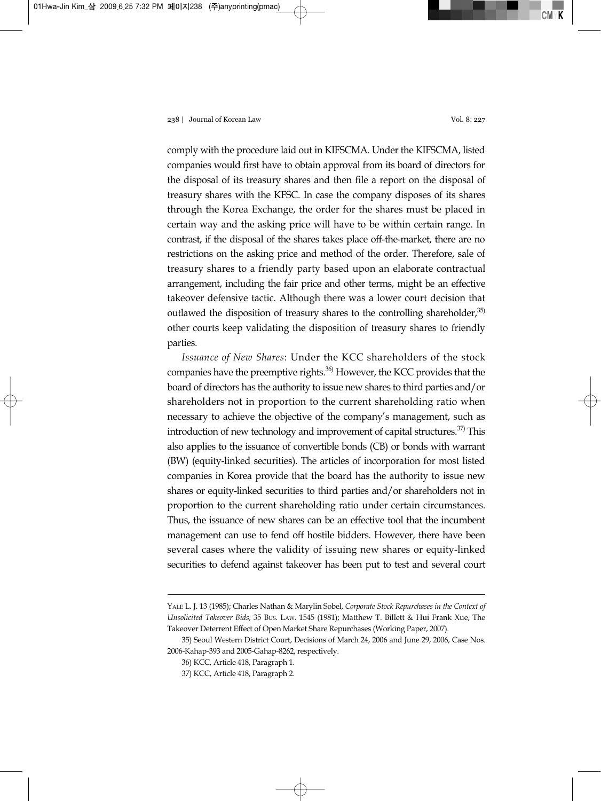comply with the procedure laid out in KIFSCMA. Under the KIFSCMA, listed companies would first have to obtain approval from its board of directors for the disposal of its treasury shares and then file a report on the disposal of treasury shares with the KFSC. In case the company disposes of its shares through the Korea Exchange, the order for the shares must be placed in certain way and the asking price will have to be within certain range. In contrast, if the disposal of the shares takes place off-the-market, there are no restrictions on the asking price and method of the order. Therefore, sale of treasury shares to a friendly party based upon an elaborate contractual arrangement, including the fair price and other terms, might be an effective takeover defensive tactic. Although there was a lower court decision that outlawed the disposition of treasury shares to the controlling shareholder,  $35$ other courts keep validating the disposition of treasury shares to friendly parties.

*Issuance of New Shares*: Under the KCC shareholders of the stock companies have the preemptive rights.<sup>36</sup> However, the KCC provides that the board of directors has the authority to issue new shares to third parties and/or shareholders not in proportion to the current shareholding ratio when necessary to achieve the objective of the company's management, such as introduction of new technology and improvement of capital structures.<sup>37</sup> This also applies to the issuance of convertible bonds (CB) or bonds with warrant (BW) (equity-linked securities). The articles of incorporation for most listed companies in Korea provide that the board has the authority to issue new shares or equity-linked securities to third parties and/or shareholders not in proportion to the current shareholding ratio under certain circumstances. Thus, the issuance of new shares can be an effective tool that the incumbent management can use to fend off hostile bidders. However, there have been several cases where the validity of issuing new shares or equity-linked securities to defend against takeover has been put to test and several court

YALE L. J. 13 (1985); Charles Nathan & Marylin Sobel, *Corporate Stock Repurchases in the Context of Unsolicited Takeover Bids*, 35 BUS. LAW. 1545 (1981); Matthew T. Billett & Hui Frank Xue, The Takeover Deterrent Effect of Open Market Share Repurchases (Working Paper, 2007).

<sup>35)</sup> Seoul Western District Court, Decisions of March 24, 2006 and June 29, 2006, Case Nos. 2006-Kahap-393 and 2005-Gahap-8262, respectively.

<sup>36)</sup> KCC, Article 418, Paragraph 1.

<sup>37)</sup> KCC, Article 418, Paragraph 2.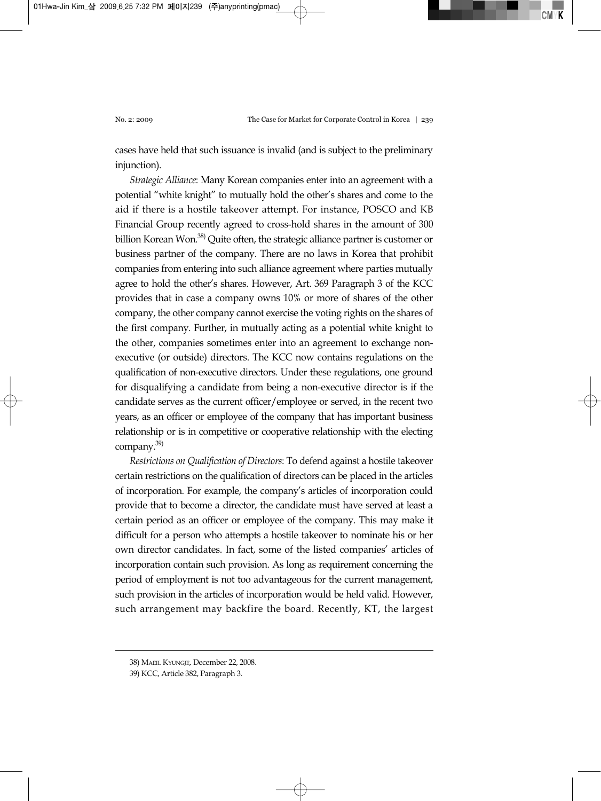cases have held that such issuance is invalid (and is subject to the preliminary injunction).

*Strategic Alliance*: Many Korean companies enter into an agreement with a potential "white knight" to mutually hold the other's shares and come to the aid if there is a hostile takeover attempt. For instance, POSCO and KB Financial Group recently agreed to cross-hold shares in the amount of 300 billion Korean Won.<sup>38)</sup> Quite often, the strategic alliance partner is customer or business partner of the company. There are no laws in Korea that prohibit companies from entering into such alliance agreement where parties mutually agree to hold the other's shares. However, Art. 369 Paragraph 3 of the KCC provides that in case a company owns 10% or more of shares of the other company, the other company cannot exercise the voting rights on the shares of the first company. Further, in mutually acting as a potential white knight to the other, companies sometimes enter into an agreement to exchange nonexecutive (or outside) directors. The KCC now contains regulations on the qualification of non-executive directors. Under these regulations, one ground for disqualifying a candidate from being a non-executive director is if the candidate serves as the current officer/employee or served, in the recent two years, as an officer or employee of the company that has important business relationship or is in competitive or cooperative relationship with the electing company.39)

*Restrictions on Qualification of Directors*: To defend against a hostile takeover certain restrictions on the qualification of directors can be placed in the articles of incorporation. For example, the company's articles of incorporation could provide that to become a director, the candidate must have served at least a certain period as an officer or employee of the company. This may make it difficult for a person who attempts a hostile takeover to nominate his or her own director candidates. In fact, some of the listed companies' articles of incorporation contain such provision. As long as requirement concerning the period of employment is not too advantageous for the current management, such provision in the articles of incorporation would be held valid. However, such arrangement may backfire the board. Recently, KT, the largest

<sup>38)</sup> MAEIL KYUNGJE, December 22, 2008.

<sup>39)</sup> KCC, Article 382, Paragraph 3.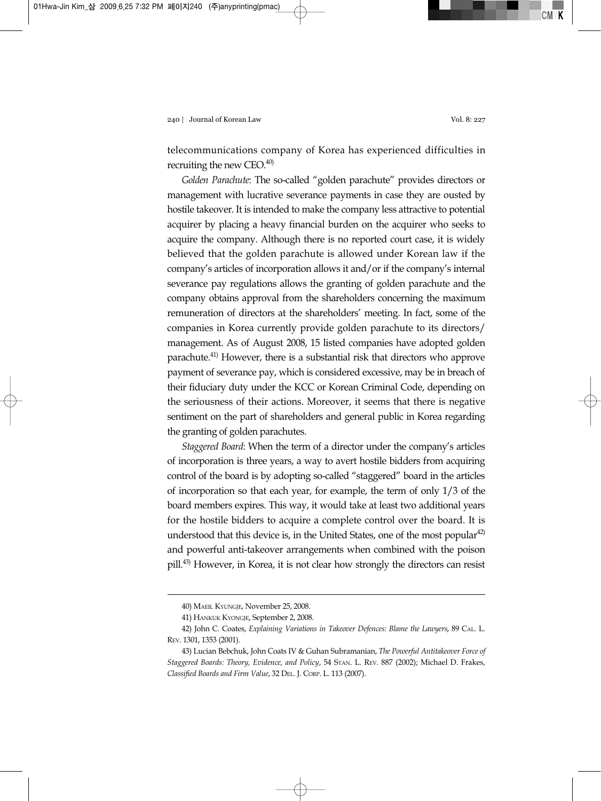telecommunications company of Korea has experienced difficulties in recruiting the new CEO. $40$ 

*Golden Parachute*: The so-called "golden parachute" provides directors or management with lucrative severance payments in case they are ousted by hostile takeover. It is intended to make the company less attractive to potential acquirer by placing a heavy financial burden on the acquirer who seeks to acquire the company. Although there is no reported court case, it is widely believed that the golden parachute is allowed under Korean law if the company's articles of incorporation allows it and/or if the company's internal severance pay regulations allows the granting of golden parachute and the company obtains approval from the shareholders concerning the maximum remuneration of directors at the shareholders' meeting. In fact, some of the companies in Korea currently provide golden parachute to its directors/ management. As of August 2008, 15 listed companies have adopted golden parachute.41) However, there is a substantial risk that directors who approve payment of severance pay, which is considered excessive, may be in breach of their fiduciary duty under the KCC or Korean Criminal Code, depending on the seriousness of their actions. Moreover, it seems that there is negative sentiment on the part of shareholders and general public in Korea regarding the granting of golden parachutes.

*Staggered Board*: When the term of a director under the company's articles of incorporation is three years, a way to avert hostile bidders from acquiring control of the board is by adopting so-called "staggered" board in the articles of incorporation so that each year, for example, the term of only 1/3 of the board members expires. This way, it would take at least two additional years for the hostile bidders to acquire a complete control over the board. It is understood that this device is, in the United States, one of the most popular<sup>42)</sup> and powerful anti-takeover arrangements when combined with the poison pill.43) However, in Korea, it is not clear how strongly the directors can resist

<sup>40)</sup> MAEIL KYUNGJE, November 25, 2008.

<sup>41)</sup> HANKUK KYONGJE, September 2, 2008.

<sup>42)</sup> John C. Coates, *Explaining Variations in Takeover Defences: Blame the Lawyers*, 89 CAL. L. REV. 1301, 1353 (2001).

<sup>43)</sup> Lucian Bebchuk, John Coats IV & Guhan Subramanian, *The Powerful Antitakeover Force of Staggered Boards: Theory, Evidence, and Policy*, 54 STAN. L. REV. 887 (2002); Michael D. Frakes, *Classified Boards and Firm Value*, 32 DEL. J. CORP. L. 113 (2007).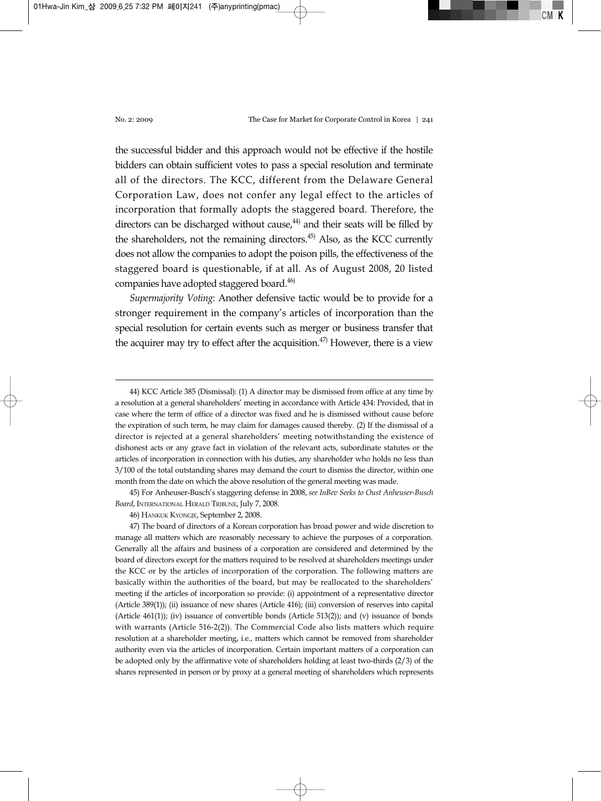the successful bidder and this approach would not be effective if the hostile bidders can obtain sufficient votes to pass a special resolution and terminate all of the directors. The KCC, different from the Delaware General Corporation Law, does not confer any legal effect to the articles of incorporation that formally adopts the staggered board. Therefore, the directors can be discharged without cause, $44$ ) and their seats will be filled by the shareholders, not the remaining directors. $45$ ) Also, as the KCC currently does not allow the companies to adopt the poison pills, the effectiveness of the staggered board is questionable, if at all. As of August 2008, 20 listed companies have adopted staggered board.<sup>46)</sup>

*Supermajority Voting*: Another defensive tactic would be to provide for a stronger requirement in the company's articles of incorporation than the special resolution for certain events such as merger or business transfer that the acquirer may try to effect after the acquisition. $47$  However, there is a view

45) For Anheuser-Busch's staggering defense in 2008, *see InBev Seeks to Oust Anheuser-Busch Board*, INTERNATIONAL HERALD TRIBUNE, July 7, 2008.

<sup>44)</sup> KCC Article 385 (Dismissal): (1) A director may be dismissed from office at any time by a resolution at a general shareholders' meeting in accordance with Article 434: Provided, that in case where the term of office of a director was fixed and he is dismissed without cause before the expiration of such term, he may claim for damages caused thereby. (2) If the dismissal of a director is rejected at a general shareholders' meeting notwithstanding the existence of dishonest acts or any grave fact in violation of the relevant acts, subordinate statutes or the articles of incorporation in connection with his duties, any shareholder who holds no less than 3/100 of the total outstanding shares may demand the court to dismiss the director, within one month from the date on which the above resolution of the general meeting was made.

<sup>46)</sup> HANKUK KYONGJE, September 2, 2008.

<sup>47)</sup> The board of directors of a Korean corporation has broad power and wide discretion to manage all matters which are reasonably necessary to achieve the purposes of a corporation. Generally all the affairs and business of a corporation are considered and determined by the board of directors except for the matters required to be resolved at shareholders meetings under the KCC or by the articles of incorporation of the corporation. The following matters are basically within the authorities of the board, but may be reallocated to the shareholders' meeting if the articles of incorporation so provide: (i) appointment of a representative director (Article 389(1)); (ii) issuance of new shares (Article 416); (iii) conversion of reserves into capital (Article 461(1)); (iv) issuance of convertible bonds (Article 513(2)); and (v) issuance of bonds with warrants (Article 516-2(2)). The Commercial Code also lists matters which require resolution at a shareholder meeting, i.e., matters which cannot be removed from shareholder authority even via the articles of incorporation. Certain important matters of a corporation can be adopted only by the affirmative vote of shareholders holding at least two-thirds (2/3) of the shares represented in person or by proxy at a general meeting of shareholders which represents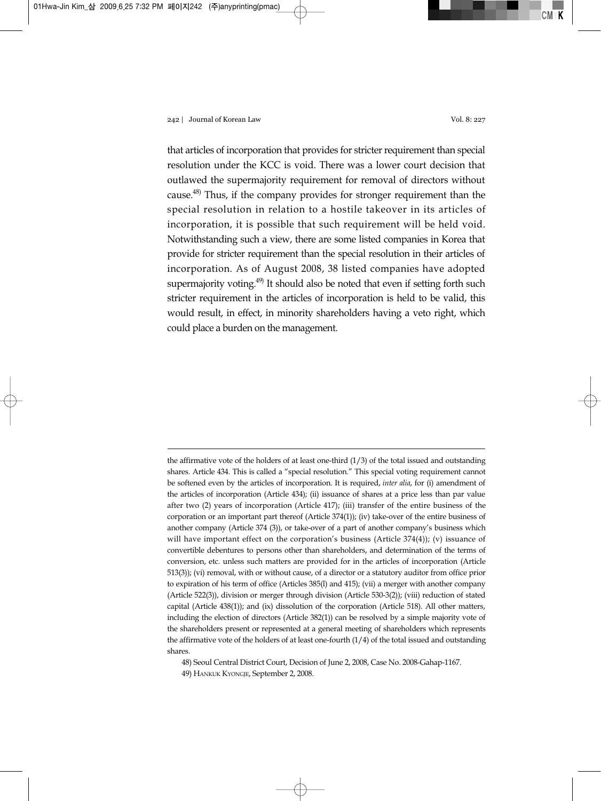that articles of incorporation that provides for stricter requirement than special resolution under the KCC is void. There was a lower court decision that outlawed the supermajority requirement for removal of directors without cause.48) Thus, if the company provides for stronger requirement than the special resolution in relation to a hostile takeover in its articles of incorporation, it is possible that such requirement will be held void. Notwithstanding such a view, there are some listed companies in Korea that provide for stricter requirement than the special resolution in their articles of incorporation. As of August 2008, 38 listed companies have adopted supermajority voting. $49$  It should also be noted that even if setting forth such stricter requirement in the articles of incorporation is held to be valid, this would result, in effect, in minority shareholders having a veto right, which could place a burden on the management.

48) Seoul Central District Court, Decision of June 2, 2008, Case No. 2008-Gahap-1167.

the affirmative vote of the holders of at least one-third (1/3) of the total issued and outstanding shares. Article 434. This is called a "special resolution." This special voting requirement cannot be softened even by the articles of incorporation. It is required, *inter alia*, for (i) amendment of the articles of incorporation (Article 434); (ii) issuance of shares at a price less than par value after two (2) years of incorporation (Article 417); (iii) transfer of the entire business of the corporation or an important part thereof (Article 374(1)); (iv) take-over of the entire business of another company (Article 374 (3)), or take-over of a part of another company's business which will have important effect on the corporation's business (Article 374(4)); (v) issuance of convertible debentures to persons other than shareholders, and determination of the terms of conversion, etc. unless such matters are provided for in the articles of incorporation (Article 513(3)); (vi) removal, with or without cause, of a director or a statutory auditor from office prior to expiration of his term of office (Articles 385(l) and 415); (vii) a merger with another company (Article 522(3)), division or merger through division (Article 530-3(2)); (viii) reduction of stated capital (Article 438(1)); and (ix) dissolution of the corporation (Article 518). All other matters, including the election of directors (Article 382(1)) can be resolved by a simple majority vote of the shareholders present or represented at a general meeting of shareholders which represents the affirmative vote of the holders of at least one-fourth (1/4) of the total issued and outstanding shares.

<sup>49)</sup> HANKUK KYONGJE, September 2, 2008.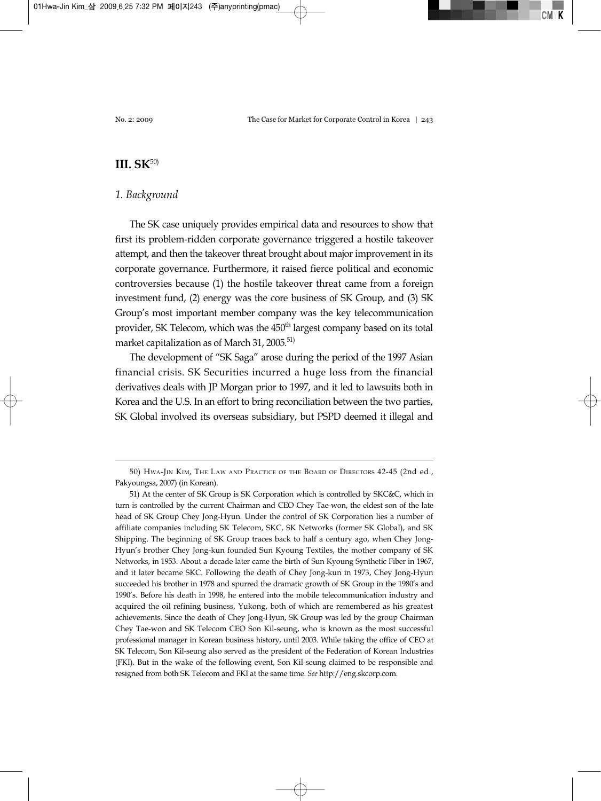# **III. SK**50)

# *1. Background*

The SK case uniquely provides empirical data and resources to show that first its problem-ridden corporate governance triggered a hostile takeover attempt, and then the takeover threat brought about major improvement in its corporate governance. Furthermore, it raised fierce political and economic controversies because (1) the hostile takeover threat came from a foreign investment fund, (2) energy was the core business of SK Group, and (3) SK Group's most important member company was the key telecommunication provider, SK Telecom, which was the 450<sup>th</sup> largest company based on its total market capitalization as of March 31, 2005.<sup>51)</sup>

The development of "SK Saga" arose during the period of the 1997 Asian financial crisis. SK Securities incurred a huge loss from the financial derivatives deals with JP Morgan prior to 1997, and it led to lawsuits both in Korea and the U.S. In an effort to bring reconciliation between the two parties, SK Global involved its overseas subsidiary, but PSPD deemed it illegal and

<sup>50)</sup> HWA-JIN KIM, THE LAW AND PRACTICE OF THE BOARD OF DIRECTORS 42-45 (2nd ed., Pakyoungsa, 2007) (in Korean).

<sup>51)</sup> At the center of SK Group is SK Corporation which is controlled by SKC&C, which in turn is controlled by the current Chairman and CEO Chey Tae-won, the eldest son of the late head of SK Group Chey Jong-Hyun. Under the control of SK Corporation lies a number of affiliate companies including SK Telecom, SKC, SK Networks (former SK Global), and SK Shipping. The beginning of SK Group traces back to half a century ago, when Chey Jong-Hyun's brother Chey Jong-kun founded Sun Kyoung Textiles, the mother company of SK Networks, in 1953. About a decade later came the birth of Sun Kyoung Synthetic Fiber in 1967, and it later became SKC. Following the death of Chey Jong-kun in 1973, Chey Jong-Hyun succeeded his brother in 1978 and spurred the dramatic growth of SK Group in the 1980's and 1990's. Before his death in 1998, he entered into the mobile telecommunication industry and acquired the oil refining business, Yukong, both of which are remembered as his greatest achievements. Since the death of Chey Jong-Hyun, SK Group was led by the group Chairman Chey Tae-won and SK Telecom CEO Son Kil-seung, who is known as the most successful professional manager in Korean business history, until 2003. While taking the office of CEO at SK Telecom, Son Kil-seung also served as the president of the Federation of Korean Industries (FKI). But in the wake of the following event, Son Kil-seung claimed to be responsible and resigned from both SK Telecom and FKI at the same time. *See* http://eng.skcorp.com.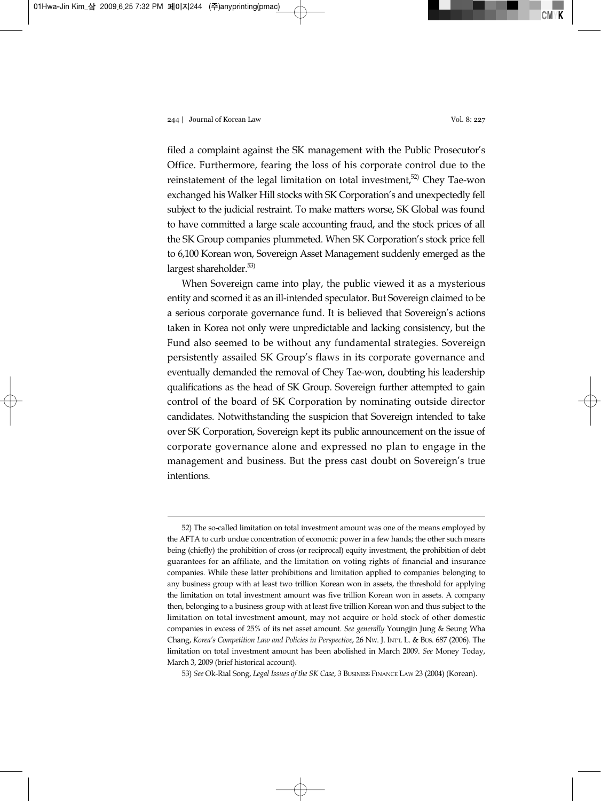filed a complaint against the SK management with the Public Prosecutor's Office. Furthermore, fearing the loss of his corporate control due to the reinstatement of the legal limitation on total investment, $52$ ) Chey Tae-won exchanged his Walker Hill stocks with SK Corporation's and unexpectedly fell subject to the judicial restraint. To make matters worse, SK Global was found to have committed a large scale accounting fraud, and the stock prices of all the SK Group companies plummeted. When SK Corporation's stock price fell to 6,100 Korean won, Sovereign Asset Management suddenly emerged as the largest shareholder.<sup>53)</sup>

When Sovereign came into play, the public viewed it as a mysterious entity and scorned it as an ill-intended speculator. But Sovereign claimed to be a serious corporate governance fund. It is believed that Sovereign's actions taken in Korea not only were unpredictable and lacking consistency, but the Fund also seemed to be without any fundamental strategies. Sovereign persistently assailed SK Group's flaws in its corporate governance and eventually demanded the removal of Chey Tae-won, doubting his leadership qualifications as the head of SK Group. Sovereign further attempted to gain control of the board of SK Corporation by nominating outside director candidates. Notwithstanding the suspicion that Sovereign intended to take over SK Corporation, Sovereign kept its public announcement on the issue of corporate governance alone and expressed no plan to engage in the management and business. But the press cast doubt on Sovereign's true intentions.

<sup>52)</sup> The so-called limitation on total investment amount was one of the means employed by the AFTA to curb undue concentration of economic power in a few hands; the other such means being (chiefly) the prohibition of cross (or reciprocal) equity investment, the prohibition of debt guarantees for an affiliate, and the limitation on voting rights of financial and insurance companies. While these latter prohibitions and limitation applied to companies belonging to any business group with at least two trillion Korean won in assets, the threshold for applying the limitation on total investment amount was five trillion Korean won in assets. A company then, belonging to a business group with at least five trillion Korean won and thus subject to the limitation on total investment amount, may not acquire or hold stock of other domestic companies in excess of 25% of its net asset amount. *See generally* Youngjin Jung & Seung Wha Chang, *Korea's Competition Law and Policies in Perspective*, 26 NW. J. INT'L L. & BUS. 687 (2006). The limitation on total investment amount has been abolished in March 2009. *See* Money Today, March 3, 2009 (brief historical account).

<sup>53)</sup> *See* Ok-Rial Song, *Legal Issues of the SK Case*, 3 BUSINESS FINANCE LAW 23 (2004) (Korean).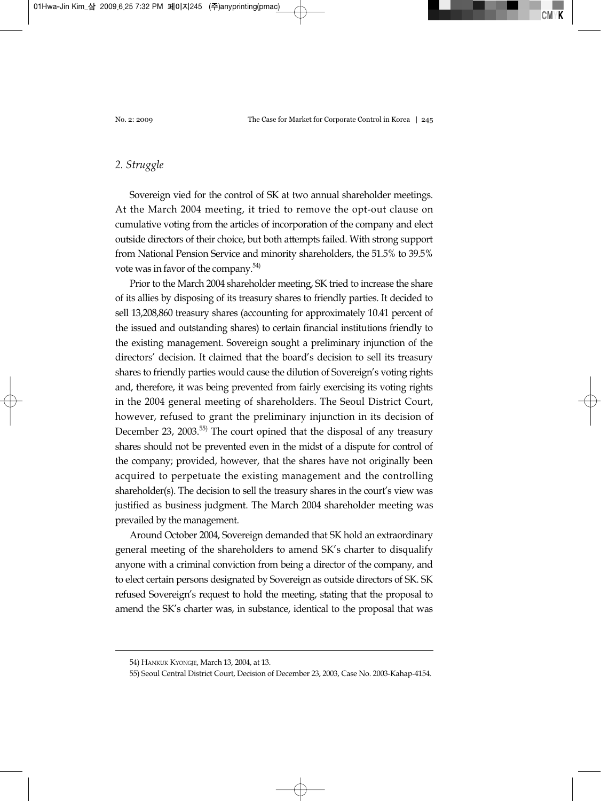### *2. Struggle*

Sovereign vied for the control of SK at two annual shareholder meetings. At the March 2004 meeting, it tried to remove the opt-out clause on cumulative voting from the articles of incorporation of the company and elect outside directors of their choice, but both attempts failed. With strong support from National Pension Service and minority shareholders, the 51.5% to 39.5% vote was in favor of the company.<sup>54)</sup>

Prior to the March 2004 shareholder meeting, SK tried to increase the share of its allies by disposing of its treasury shares to friendly parties. It decided to sell 13,208,860 treasury shares (accounting for approximately 10.41 percent of the issued and outstanding shares) to certain financial institutions friendly to the existing management. Sovereign sought a preliminary injunction of the directors' decision. It claimed that the board's decision to sell its treasury shares to friendly parties would cause the dilution of Sovereign's voting rights and, therefore, it was being prevented from fairly exercising its voting rights in the 2004 general meeting of shareholders. The Seoul District Court, however, refused to grant the preliminary injunction in its decision of December 23, 2003.<sup>55)</sup> The court opined that the disposal of any treasury shares should not be prevented even in the midst of a dispute for control of the company; provided, however, that the shares have not originally been acquired to perpetuate the existing management and the controlling shareholder(s). The decision to sell the treasury shares in the court's view was justified as business judgment. The March 2004 shareholder meeting was prevailed by the management.

Around October 2004, Sovereign demanded that SK hold an extraordinary general meeting of the shareholders to amend SK's charter to disqualify anyone with a criminal conviction from being a director of the company, and to elect certain persons designated by Sovereign as outside directors of SK. SK refused Sovereign's request to hold the meeting, stating that the proposal to amend the SK's charter was, in substance, identical to the proposal that was

<sup>54)</sup> HANKUK KYONGJE, March 13, 2004, at 13.

<sup>55)</sup> Seoul Central District Court, Decision of December 23, 2003, Case No. 2003-Kahap-4154.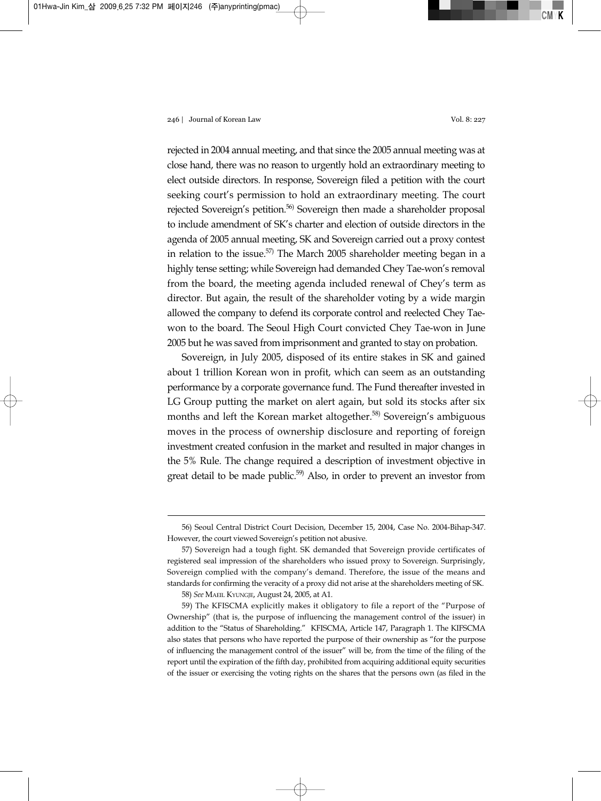rejected in 2004 annual meeting, and that since the 2005 annual meeting was at close hand, there was no reason to urgently hold an extraordinary meeting to elect outside directors. In response, Sovereign filed a petition with the court seeking court's permission to hold an extraordinary meeting. The court rejected Sovereign's petition.<sup>56)</sup> Sovereign then made a shareholder proposal to include amendment of SK's charter and election of outside directors in the agenda of 2005 annual meeting, SK and Sovereign carried out a proxy contest in relation to the issue.<sup>57)</sup> The March 2005 shareholder meeting began in a highly tense setting; while Sovereign had demanded Chey Tae-won's removal from the board, the meeting agenda included renewal of Chey's term as director. But again, the result of the shareholder voting by a wide margin allowed the company to defend its corporate control and reelected Chey Taewon to the board. The Seoul High Court convicted Chey Tae-won in June 2005 but he was saved from imprisonment and granted to stay on probation.

Sovereign, in July 2005, disposed of its entire stakes in SK and gained about 1 trillion Korean won in profit, which can seem as an outstanding performance by a corporate governance fund. The Fund thereafter invested in LG Group putting the market on alert again, but sold its stocks after six months and left the Korean market altogether.<sup>58)</sup> Sovereign's ambiguous moves in the process of ownership disclosure and reporting of foreign investment created confusion in the market and resulted in major changes in the 5% Rule. The change required a description of investment objective in great detail to be made public. $59$ ) Also, in order to prevent an investor from

<sup>56)</sup> Seoul Central District Court Decision, December 15, 2004, Case No. 2004-Bihap-347. However, the court viewed Sovereign's petition not abusive.

<sup>57)</sup> Sovereign had a tough fight. SK demanded that Sovereign provide certificates of registered seal impression of the shareholders who issued proxy to Sovereign. Surprisingly, Sovereign complied with the company's demand. Therefore, the issue of the means and standards for confirming the veracity of a proxy did not arise at the shareholders meeting of SK.

<sup>58)</sup> *See* MAEIL KYUNGJE, August 24, 2005, at A1.

<sup>59)</sup> The KFISCMA explicitly makes it obligatory to file a report of the "Purpose of Ownership" (that is, the purpose of influencing the management control of the issuer) in addition to the "Status of Shareholding." KFISCMA, Article 147, Paragraph 1. The KIFSCMA also states that persons who have reported the purpose of their ownership as "for the purpose of influencing the management control of the issuer" will be, from the time of the filing of the report until the expiration of the fifth day, prohibited from acquiring additional equity securities of the issuer or exercising the voting rights on the shares that the persons own (as filed in the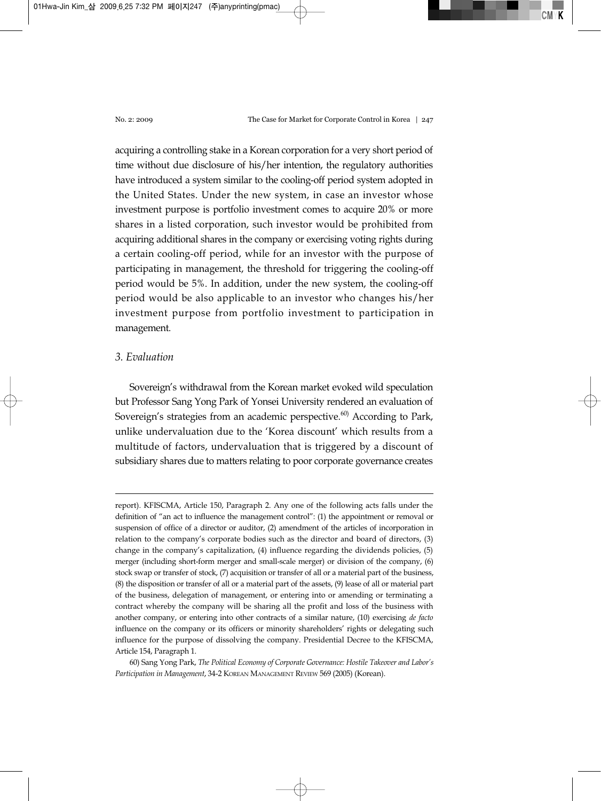acquiring a controlling stake in a Korean corporation for a very short period of time without due disclosure of his/her intention, the regulatory authorities have introduced a system similar to the cooling-off period system adopted in the United States. Under the new system, in case an investor whose investment purpose is portfolio investment comes to acquire 20% or more shares in a listed corporation, such investor would be prohibited from acquiring additional shares in the company or exercising voting rights during a certain cooling-off period, while for an investor with the purpose of participating in management, the threshold for triggering the cooling-off period would be 5%. In addition, under the new system, the cooling-off period would be also applicable to an investor who changes his/her investment purpose from portfolio investment to participation in management.

### *3. Evaluation*

Sovereign's withdrawal from the Korean market evoked wild speculation but Professor Sang Yong Park of Yonsei University rendered an evaluation of Sovereign's strategies from an academic perspective. $60$  According to Park, unlike undervaluation due to the 'Korea discount' which results from a multitude of factors, undervaluation that is triggered by a discount of subsidiary shares due to matters relating to poor corporate governance creates

report). KFISCMA, Article 150, Paragraph 2. Any one of the following acts falls under the definition of "an act to influence the management control": (1) the appointment or removal or suspension of office of a director or auditor, (2) amendment of the articles of incorporation in relation to the company's corporate bodies such as the director and board of directors, (3) change in the company's capitalization, (4) influence regarding the dividends policies, (5) merger (including short-form merger and small-scale merger) or division of the company, (6) stock swap or transfer of stock, (7) acquisition or transfer of all or a material part of the business, (8) the disposition or transfer of all or a material part of the assets, (9) lease of all or material part of the business, delegation of management, or entering into or amending or terminating a contract whereby the company will be sharing all the profit and loss of the business with another company, or entering into other contracts of a similar nature, (10) exercising *de facto* influence on the company or its officers or minority shareholders' rights or delegating such influence for the purpose of dissolving the company. Presidential Decree to the KFISCMA, Article 154, Paragraph 1.

<sup>60)</sup> Sang Yong Park, *The Political Economy of Corporate Governance: Hostile Takeover and Labor's Participation in Management*, 34-2 KOREAN MANAGEMENT REVIEW 569 (2005) (Korean).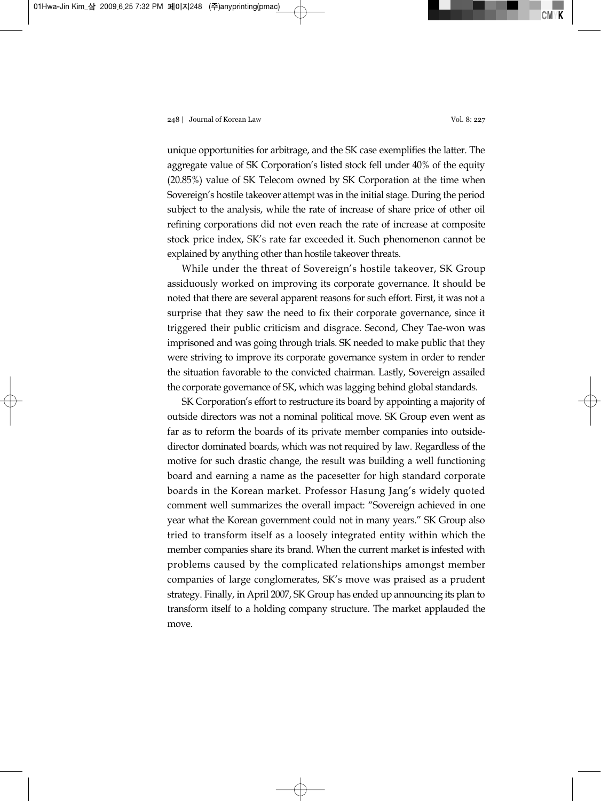unique opportunities for arbitrage, and the SK case exemplifies the latter. The aggregate value of SK Corporation's listed stock fell under 40% of the equity (20.85%) value of SK Telecom owned by SK Corporation at the time when Sovereign's hostile takeover attempt was in the initial stage. During the period subject to the analysis, while the rate of increase of share price of other oil refining corporations did not even reach the rate of increase at composite stock price index, SK's rate far exceeded it. Such phenomenon cannot be explained by anything other than hostile takeover threats.

While under the threat of Sovereign's hostile takeover, SK Group assiduously worked on improving its corporate governance. It should be noted that there are several apparent reasons for such effort. First, it was not a surprise that they saw the need to fix their corporate governance, since it triggered their public criticism and disgrace. Second, Chey Tae-won was imprisoned and was going through trials. SK needed to make public that they were striving to improve its corporate governance system in order to render the situation favorable to the convicted chairman. Lastly, Sovereign assailed the corporate governance of SK, which was lagging behind global standards.

SK Corporation's effort to restructure its board by appointing a majority of outside directors was not a nominal political move. SK Group even went as far as to reform the boards of its private member companies into outsidedirector dominated boards, which was not required by law. Regardless of the motive for such drastic change, the result was building a well functioning board and earning a name as the pacesetter for high standard corporate boards in the Korean market. Professor Hasung Jang's widely quoted comment well summarizes the overall impact: "Sovereign achieved in one year what the Korean government could not in many years." SK Group also tried to transform itself as a loosely integrated entity within which the member companies share its brand. When the current market is infested with problems caused by the complicated relationships amongst member companies of large conglomerates, SK's move was praised as a prudent strategy. Finally, in April 2007, SK Group has ended up announcing its plan to transform itself to a holding company structure. The market applauded the move.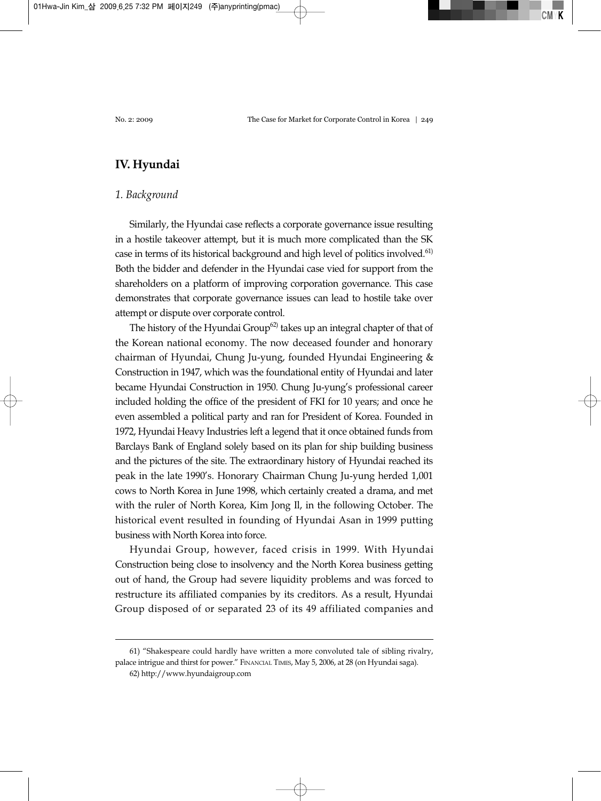# **IV. Hyundai**

# *1. Background*

Similarly, the Hyundai case reflects a corporate governance issue resulting in a hostile takeover attempt, but it is much more complicated than the SK case in terms of its historical background and high level of politics involved.<sup>61)</sup> Both the bidder and defender in the Hyundai case vied for support from the shareholders on a platform of improving corporation governance. This case demonstrates that corporate governance issues can lead to hostile take over attempt or dispute over corporate control.

The history of the Hyundai Group<sup>62</sup> takes up an integral chapter of that of the Korean national economy. The now deceased founder and honorary chairman of Hyundai, Chung Ju-yung, founded Hyundai Engineering & Construction in 1947, which was the foundational entity of Hyundai and later became Hyundai Construction in 1950. Chung Ju-yung's professional career included holding the office of the president of FKI for 10 years; and once he even assembled a political party and ran for President of Korea. Founded in 1972, Hyundai Heavy Industries left a legend that it once obtained funds from Barclays Bank of England solely based on its plan for ship building business and the pictures of the site. The extraordinary history of Hyundai reached its peak in the late 1990's. Honorary Chairman Chung Ju-yung herded 1,001 cows to North Korea in June 1998, which certainly created a drama, and met with the ruler of North Korea, Kim Jong Il, in the following October. The historical event resulted in founding of Hyundai Asan in 1999 putting business with North Korea into force.

Hyundai Group, however, faced crisis in 1999. With Hyundai Construction being close to insolvency and the North Korea business getting out of hand, the Group had severe liquidity problems and was forced to restructure its affiliated companies by its creditors. As a result, Hyundai Group disposed of or separated 23 of its 49 affiliated companies and

<sup>61) &</sup>quot;Shakespeare could hardly have written a more convoluted tale of sibling rivalry, palace intrigue and thirst for power." FINANCIAL TIMES, May 5, 2006, at 28 (on Hyundai saga).

<sup>62)</sup> http://www.hyundaigroup.com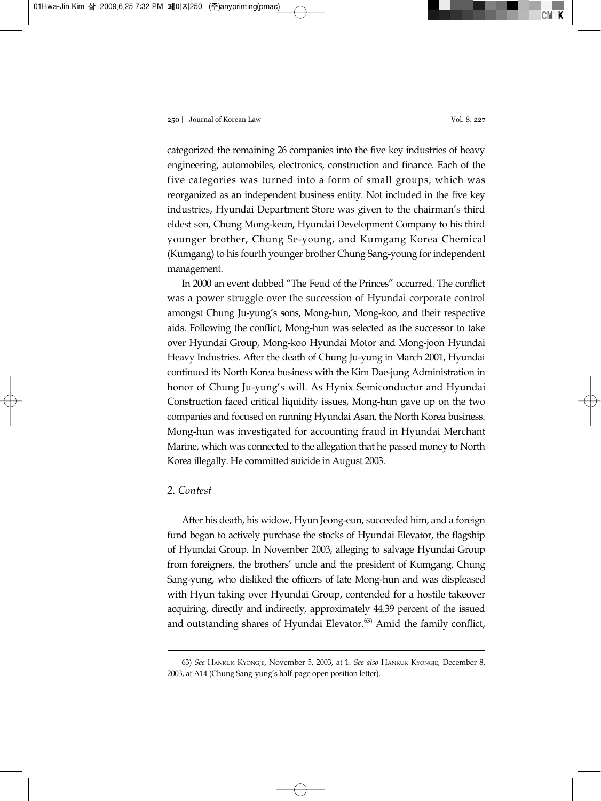categorized the remaining 26 companies into the five key industries of heavy engineering, automobiles, electronics, construction and finance. Each of the five categories was turned into a form of small groups, which was reorganized as an independent business entity. Not included in the five key industries, Hyundai Department Store was given to the chairman's third eldest son, Chung Mong-keun, Hyundai Development Company to his third younger brother, Chung Se-young, and Kumgang Korea Chemical (Kumgang) to his fourth younger brother Chung Sang-young for independent management.

In 2000 an event dubbed "The Feud of the Princes" occurred. The conflict was a power struggle over the succession of Hyundai corporate control amongst Chung Ju-yung's sons, Mong-hun, Mong-koo, and their respective aids. Following the conflict, Mong-hun was selected as the successor to take over Hyundai Group, Mong-koo Hyundai Motor and Mong-joon Hyundai Heavy Industries. After the death of Chung Ju-yung in March 2001, Hyundai continued its North Korea business with the Kim Dae-jung Administration in honor of Chung Ju-yung's will. As Hynix Semiconductor and Hyundai Construction faced critical liquidity issues, Mong-hun gave up on the two companies and focused on running Hyundai Asan, the North Korea business. Mong-hun was investigated for accounting fraud in Hyundai Merchant Marine, which was connected to the allegation that he passed money to North Korea illegally. He committed suicide in August 2003.

### *2. Contest*

After his death, his widow, Hyun Jeong-eun, succeeded him, and a foreign fund began to actively purchase the stocks of Hyundai Elevator, the flagship of Hyundai Group. In November 2003, alleging to salvage Hyundai Group from foreigners, the brothers' uncle and the president of Kumgang, Chung Sang-yung, who disliked the officers of late Mong-hun and was displeased with Hyun taking over Hyundai Group, contended for a hostile takeover acquiring, directly and indirectly, approximately 44.39 percent of the issued and outstanding shares of Hyundai Elevator. $63$ ) Amid the family conflict,

<sup>63)</sup> *See* HANKUK KYONGJE, November 5, 2003, at 1. *See also* HANKUK KYONGJE, December 8, 2003, at A14 (Chung Sang-yung's half-page open position letter).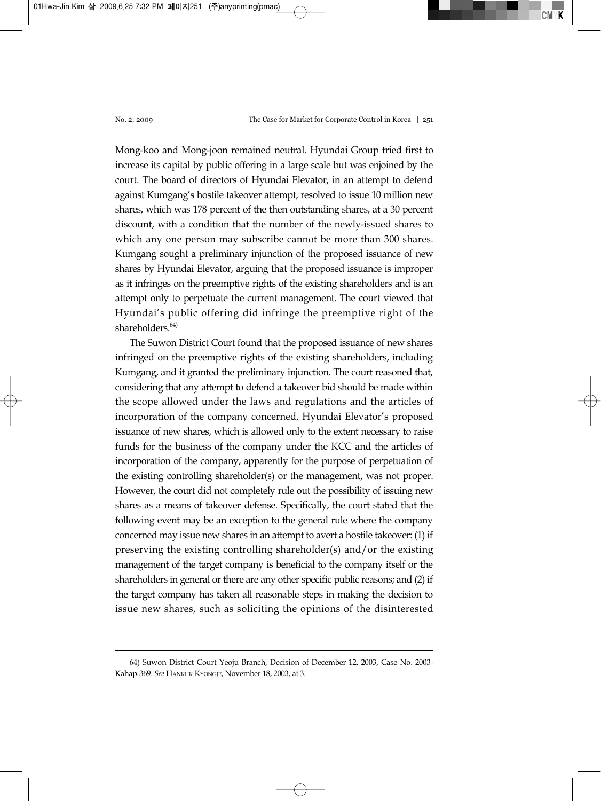Mong-koo and Mong-joon remained neutral. Hyundai Group tried first to increase its capital by public offering in a large scale but was enjoined by the court. The board of directors of Hyundai Elevator, in an attempt to defend against Kumgang's hostile takeover attempt, resolved to issue 10 million new shares, which was 178 percent of the then outstanding shares, at a 30 percent discount, with a condition that the number of the newly-issued shares to which any one person may subscribe cannot be more than 300 shares. Kumgang sought a preliminary injunction of the proposed issuance of new shares by Hyundai Elevator, arguing that the proposed issuance is improper as it infringes on the preemptive rights of the existing shareholders and is an attempt only to perpetuate the current management. The court viewed that Hyundai's public offering did infringe the preemptive right of the shareholders<sup>64)</sup>

The Suwon District Court found that the proposed issuance of new shares infringed on the preemptive rights of the existing shareholders, including Kumgang, and it granted the preliminary injunction. The court reasoned that, considering that any attempt to defend a takeover bid should be made within the scope allowed under the laws and regulations and the articles of incorporation of the company concerned, Hyundai Elevator's proposed issuance of new shares, which is allowed only to the extent necessary to raise funds for the business of the company under the KCC and the articles of incorporation of the company, apparently for the purpose of perpetuation of the existing controlling shareholder(s) or the management, was not proper. However, the court did not completely rule out the possibility of issuing new shares as a means of takeover defense. Specifically, the court stated that the following event may be an exception to the general rule where the company concerned may issue new shares in an attempt to avert a hostile takeover: (1) if preserving the existing controlling shareholder(s) and/or the existing management of the target company is beneficial to the company itself or the shareholders in general or there are any other specific public reasons; and (2) if the target company has taken all reasonable steps in making the decision to issue new shares, such as soliciting the opinions of the disinterested

<sup>64)</sup> Suwon District Court Yeoju Branch, Decision of December 12, 2003, Case No. 2003- Kahap-369. *See* HANKUK KYONGJE, November 18, 2003, at 3.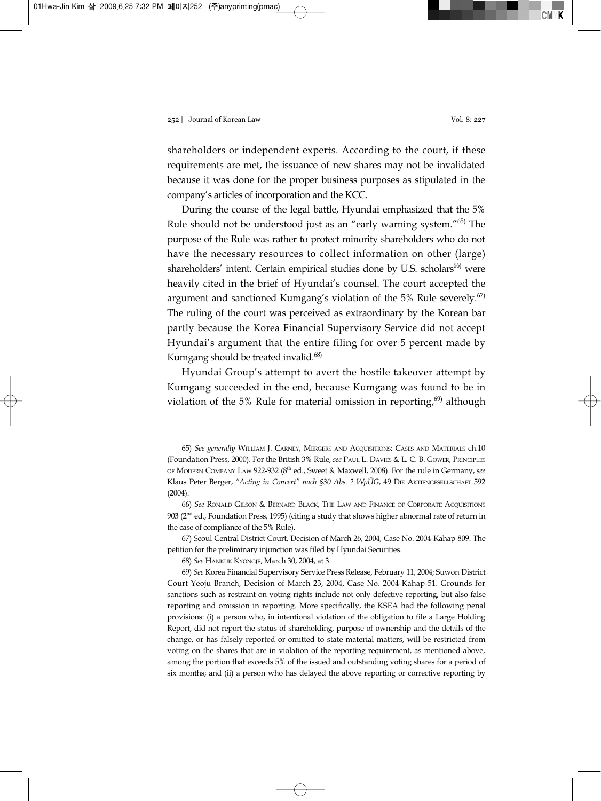shareholders or independent experts. According to the court, if these requirements are met, the issuance of new shares may not be invalidated because it was done for the proper business purposes as stipulated in the company's articles of incorporation and the KCC.

During the course of the legal battle, Hyundai emphasized that the 5% Rule should not be understood just as an "early warning system."65) The purpose of the Rule was rather to protect minority shareholders who do not have the necessary resources to collect information on other (large) shareholders' intent. Certain empirical studies done by U.S. scholars<sup>66)</sup> were heavily cited in the brief of Hyundai's counsel. The court accepted the argument and sanctioned Kumgang's violation of the  $5\%$  Rule severely.<sup>67)</sup> The ruling of the court was perceived as extraordinary by the Korean bar partly because the Korea Financial Supervisory Service did not accept Hyundai's argument that the entire filing for over 5 percent made by Kumgang should be treated invalid.<sup>68)</sup>

Hyundai Group's attempt to avert the hostile takeover attempt by Kumgang succeeded in the end, because Kumgang was found to be in violation of the 5% Rule for material omission in reporting,<sup>69)</sup> although

<sup>65)</sup> *See generally* WILLIAM J. CARNEY, MERGERS AND ACQUISITIONS: CASES AND MATERIALS ch.10 (Foundation Press, 2000). For the British 3% Rule, *see* PAUL L. DAVIES & L. C. B. GOWER, PRINCIPLES OF MODERN COMPANY LAW 922-932 (8th ed., Sweet & Maxwell, 2008). For the rule in Germany, *see* Klaus Peter Berger, "Acting in Concert" nach §30 Abs. 2 WpÜG, 49 DIE AKTIENGESELLSCHAFT 592 (2004).

<sup>66)</sup> *See* RONALD GILSON & BERNARD BLACK, THE LAW AND FINANCE OF CORPORATE ACQUISITIONS 903 ( $2<sup>nd</sup>$  ed., Foundation Press, 1995) (citing a study that shows higher abnormal rate of return in the case of compliance of the 5% Rule).

<sup>67)</sup> Seoul Central District Court, Decision of March 26, 2004, Case No. 2004-Kahap-809. The petition for the preliminary injunction was filed by Hyundai Securities.

<sup>68)</sup> *See* HANKUK KYONGJE, March 30, 2004, at 3.

<sup>69)</sup> *See* Korea Financial Supervisory Service Press Release, February 11, 2004; Suwon District Court Yeoju Branch, Decision of March 23, 2004, Case No. 2004-Kahap-51. Grounds for sanctions such as restraint on voting rights include not only defective reporting, but also false reporting and omission in reporting. More specifically, the KSEA had the following penal provisions: (i) a person who, in intentional violation of the obligation to file a Large Holding Report, did not report the status of shareholding, purpose of ownership and the details of the change, or has falsely reported or omitted to state material matters, will be restricted from voting on the shares that are in violation of the reporting requirement, as mentioned above, among the portion that exceeds 5% of the issued and outstanding voting shares for a period of six months; and (ii) a person who has delayed the above reporting or corrective reporting by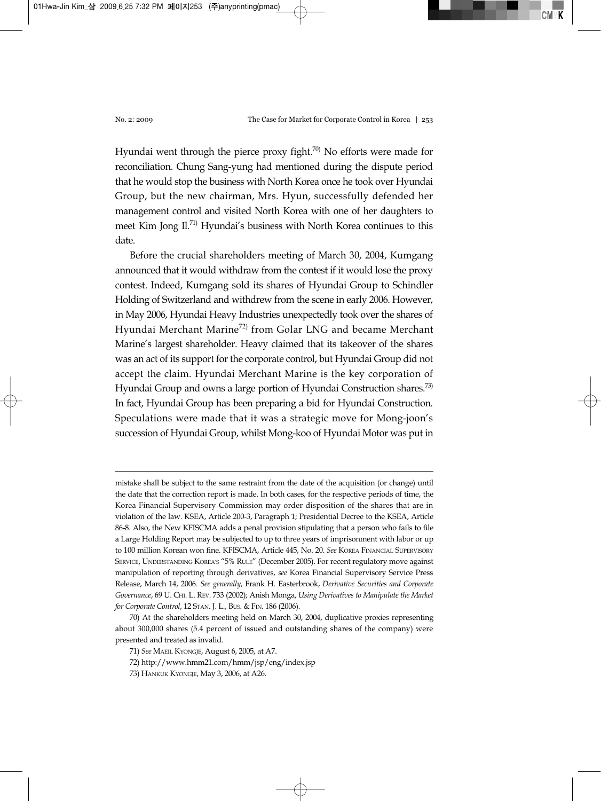Hyundai went through the pierce proxy fight.<sup>70</sup> No efforts were made for reconciliation. Chung Sang-yung had mentioned during the dispute period that he would stop the business with North Korea once he took over Hyundai Group, but the new chairman, Mrs. Hyun, successfully defended her management control and visited North Korea with one of her daughters to meet Kim Jong Il.<sup>71)</sup> Hyundai's business with North Korea continues to this date.

Before the crucial shareholders meeting of March 30, 2004, Kumgang announced that it would withdraw from the contest if it would lose the proxy contest. Indeed, Kumgang sold its shares of Hyundai Group to Schindler Holding of Switzerland and withdrew from the scene in early 2006. However, in May 2006, Hyundai Heavy Industries unexpectedly took over the shares of Hyundai Merchant Marine<sup>72)</sup> from Golar LNG and became Merchant Marine's largest shareholder. Heavy claimed that its takeover of the shares was an act of its support for the corporate control, but Hyundai Group did not accept the claim. Hyundai Merchant Marine is the key corporation of Hyundai Group and owns a large portion of Hyundai Construction shares.<sup>73)</sup> In fact, Hyundai Group has been preparing a bid for Hyundai Construction. Speculations were made that it was a strategic move for Mong-joon's succession of Hyundai Group, whilst Mong-koo of Hyundai Motor was put in

mistake shall be subject to the same restraint from the date of the acquisition (or change) until the date that the correction report is made. In both cases, for the respective periods of time, the Korea Financial Supervisory Commission may order disposition of the shares that are in violation of the law. KSEA, Article 200-3, Paragraph 1; Presidential Decree to the KSEA, Article 86-8. Also, the New KFISCMA adds a penal provision stipulating that a person who fails to file a Large Holding Report may be subjected to up to three years of imprisonment with labor or up to 100 million Korean won fine. KFISCMA, Article 445, No. 20. *See* KOREA FINANCIAL SUPERVISORY SERVICE, UNDERSTANDING KOREA'S "5% RULE" (December 2005). For recent regulatory move against manipulation of reporting through derivatives, *see* Korea Financial Supervisory Service Press Release, March 14, 2006. *See generally*, Frank H. Easterbrook, *Derivative Securities and Corporate Governance*, 69 U. CHI. L. REV. 733 (2002); Anish Monga, *Using Derivatives to Manipulate the Market for Corporate Control*, 12 STAN. J. L., BUS. & FIN. 186 (2006).

<sup>70)</sup> At the shareholders meeting held on March 30, 2004, duplicative proxies representing about 300,000 shares (5.4 percent of issued and outstanding shares of the company) were presented and treated as invalid.

<sup>71)</sup> *See* MAEIL KYONGJE, August 6, 2005, at A7.

<sup>72)</sup> http://www.hmm21.com/hmm/jsp/eng/index.jsp

<sup>73)</sup> HANKUK KYONGJE, May 3, 2006, at A26.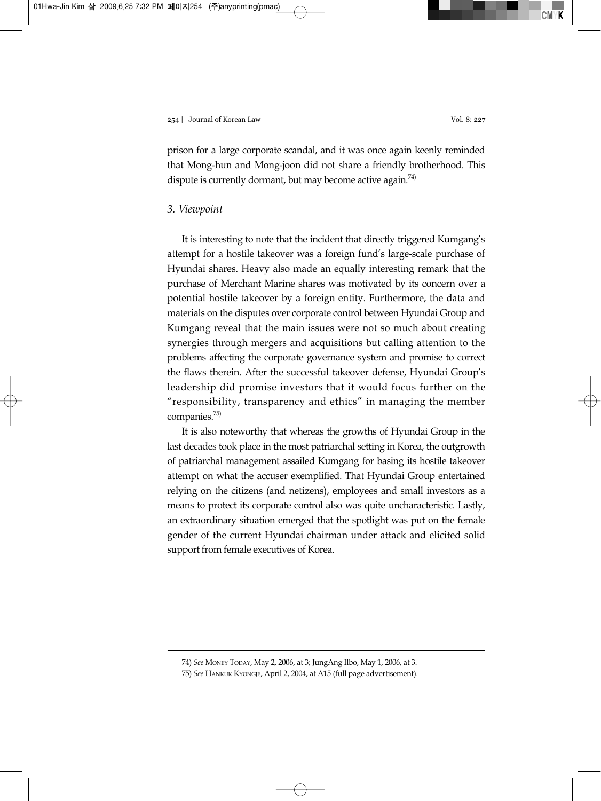prison for a large corporate scandal, and it was once again keenly reminded that Mong-hun and Mong-joon did not share a friendly brotherhood. This dispute is currently dormant, but may become active again.<sup>74)</sup>

### *3. Viewpoint*

It is interesting to note that the incident that directly triggered Kumgang's attempt for a hostile takeover was a foreign fund's large-scale purchase of Hyundai shares. Heavy also made an equally interesting remark that the purchase of Merchant Marine shares was motivated by its concern over a potential hostile takeover by a foreign entity. Furthermore, the data and materials on the disputes over corporate control between Hyundai Group and Kumgang reveal that the main issues were not so much about creating synergies through mergers and acquisitions but calling attention to the problems affecting the corporate governance system and promise to correct the flaws therein. After the successful takeover defense, Hyundai Group's leadership did promise investors that it would focus further on the "responsibility, transparency and ethics" in managing the member companies.75)

It is also noteworthy that whereas the growths of Hyundai Group in the last decades took place in the most patriarchal setting in Korea, the outgrowth of patriarchal management assailed Kumgang for basing its hostile takeover attempt on what the accuser exemplified. That Hyundai Group entertained relying on the citizens (and netizens), employees and small investors as a means to protect its corporate control also was quite uncharacteristic. Lastly, an extraordinary situation emerged that the spotlight was put on the female gender of the current Hyundai chairman under attack and elicited solid support from female executives of Korea.

<sup>74)</sup> *See* MONEY TODAY, May 2, 2006, at 3; JungAng Ilbo, May 1, 2006, at 3.

<sup>75)</sup> *See* HANKUK KYONGJE, April 2, 2004, at A15 (full page advertisement).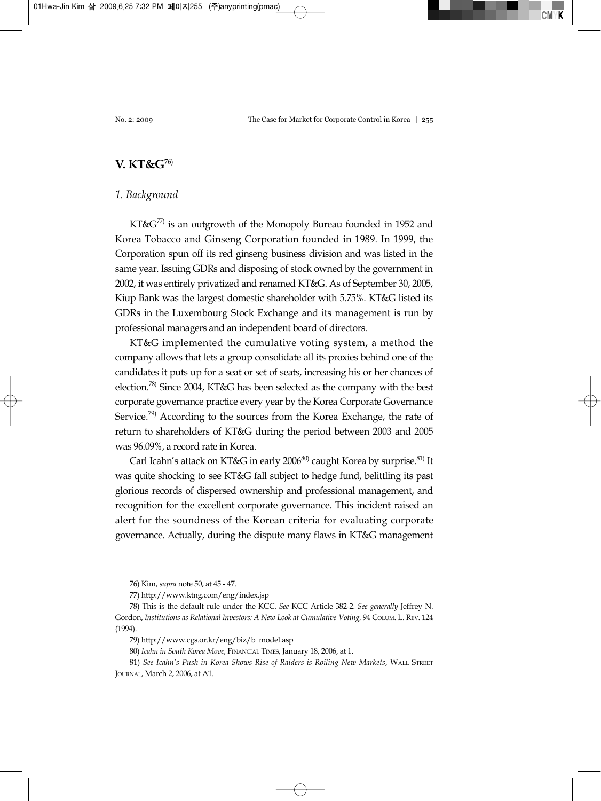# **V. KT&G**76)

# *1. Background*

 $KT\&G^{77}$  is an outgrowth of the Monopoly Bureau founded in 1952 and Korea Tobacco and Ginseng Corporation founded in 1989. In 1999, the Corporation spun off its red ginseng business division and was listed in the same year. Issuing GDRs and disposing of stock owned by the government in 2002, it was entirely privatized and renamed KT&G. As of September 30, 2005, Kiup Bank was the largest domestic shareholder with 5.75%. KT&G listed its GDRs in the Luxembourg Stock Exchange and its management is run by professional managers and an independent board of directors.

KT&G implemented the cumulative voting system, a method the company allows that lets a group consolidate all its proxies behind one of the candidates it puts up for a seat or set of seats, increasing his or her chances of election.78) Since 2004, KT&G has been selected as the company with the best corporate governance practice every year by the Korea Corporate Governance Service.<sup>79</sup>) According to the sources from the Korea Exchange, the rate of return to shareholders of KT&G during the period between 2003 and 2005 was 96.09%, a record rate in Korea.

Carl Icahn's attack on KT&G in early 2006<sup>80)</sup> caught Korea by surprise.<sup>81)</sup> It was quite shocking to see KT&G fall subject to hedge fund, belittling its past glorious records of dispersed ownership and professional management, and recognition for the excellent corporate governance. This incident raised an alert for the soundness of the Korean criteria for evaluating corporate governance. Actually, during the dispute many flaws in KT&G management

<sup>76)</sup> Kim, *supra* note 50, at 45 - 47.

<sup>77)</sup> http://www.ktng.com/eng/index.jsp

<sup>78)</sup> This is the default rule under the KCC. *See* KCC Article 382-2. *See generally* Jeffrey N. Gordon, *Institutions as Relational Investors: A New Look at Cumulative Voting*, 94 COLUM. L. REV. 124 (1994).

<sup>79)</sup> http://www.cgs.or.kr/eng/biz/b\_model.asp

<sup>80)</sup> *Icahn in South Korea Move*, FINANCIAL TIMES, January 18, 2006, at 1.

<sup>81)</sup> *See Icahn's Push in Korea Shows Rise of Raiders is Roiling New Markets*, WALL STREET JOURNAL, March 2, 2006, at A1.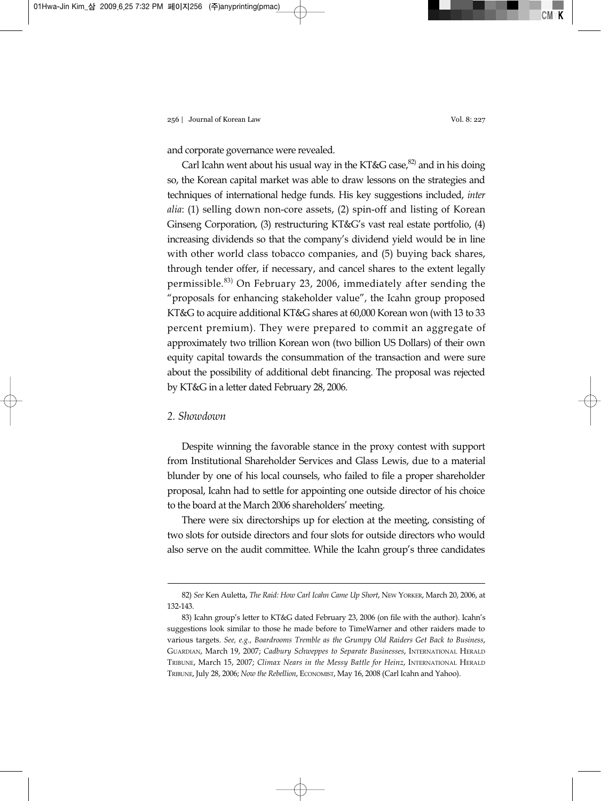and corporate governance were revealed.

Carl Icahn went about his usual way in the KT&G case, $^{82}$  and in his doing so, the Korean capital market was able to draw lessons on the strategies and techniques of international hedge funds. His key suggestions included, *inter alia*: (1) selling down non-core assets, (2) spin-off and listing of Korean Ginseng Corporation, (3) restructuring KT&G's vast real estate portfolio, (4) increasing dividends so that the company's dividend yield would be in line with other world class tobacco companies, and (5) buying back shares, through tender offer, if necessary, and cancel shares to the extent legally permissible.83) On February 23, 2006, immediately after sending the "proposals for enhancing stakeholder value", the Icahn group proposed KT&G to acquire additional KT&G shares at 60,000 Korean won (with 13 to 33 percent premium). They were prepared to commit an aggregate of approximately two trillion Korean won (two billion US Dollars) of their own equity capital towards the consummation of the transaction and were sure about the possibility of additional debt financing. The proposal was rejected by KT&G in a letter dated February 28, 2006.

### *2. Showdown*

Despite winning the favorable stance in the proxy contest with support from Institutional Shareholder Services and Glass Lewis, due to a material blunder by one of his local counsels, who failed to file a proper shareholder proposal, Icahn had to settle for appointing one outside director of his choice to the board at the March 2006 shareholders' meeting.

There were six directorships up for election at the meeting, consisting of two slots for outside directors and four slots for outside directors who would also serve on the audit committee. While the Icahn group's three candidates

<sup>82)</sup> *See* Ken Auletta, *The Raid: How Carl Icahn Came Up Short*, NEW YORKER, March 20, 2006, at 132-143.

<sup>83)</sup> Icahn group's letter to KT&G dated February 23, 2006 (on file with the author). Icahn's suggestions look similar to those he made before to TimeWarner and other raiders made to various targets. *See, e.g., Boardrooms Tremble as the Grumpy Old Raiders Get Back to Business*, GUARDIAN, March 19, 2007; *Cadbury Schweppes to Separate Businesses*, INTERNATIONAL HERALD TRIBUNE, March 15, 2007; *Climax Nears in the Messy Battle for Heinz*, INTERNATIONAL HERALD TRIBUNE, July 28, 2006; *Now the Rebellion*, ECONOMIST, May 16, 2008 (Carl Icahn and Yahoo).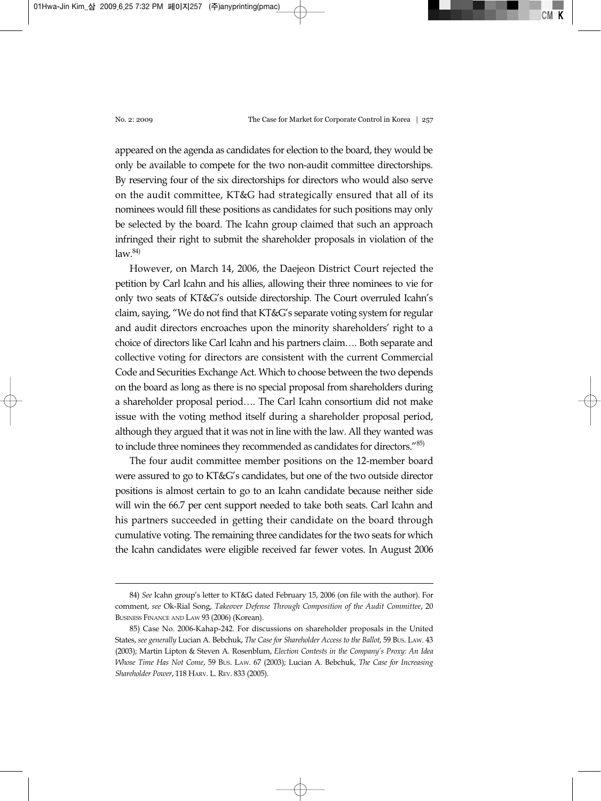appeared on the agenda as candidates for election to the board, they would be only be available to compete for the two non-audit committee directorships. By reserving four of the six directorships for directors who would also serve on the audit committee, KT&G had strategically ensured that all of its nominees would fill these positions as candidates for such positions may only be selected by the board. The Icahn group claimed that such an approach infringed their right to submit the shareholder proposals in violation of the  $law.<sup>84</sup>$ 

However, on March 14, 2006, the Daejeon District Court rejected the petition by Carl Icahn and his allies, allowing their three nominees to vie for only two seats of KT&G's outside directorship. The Court overruled Icahn's claim, saying, "We do not find that KT&G's separate voting system for regular and audit directors encroaches upon the minority shareholders' right to a choice of directors like Carl Icahn and his partners claim…. Both separate and collective voting for directors are consistent with the current Commercial Code and Securities Exchange Act. Which to choose between the two depends on the board as long as there is no special proposal from shareholders during a shareholder proposal period…. The Carl Icahn consortium did not make issue with the voting method itself during a shareholder proposal period, although they argued that it was not in line with the law. All they wanted was to include three nominees they recommended as candidates for directors."<sup>85)</sup>

The four audit committee member positions on the 12-member board were assured to go to KT&G's candidates, but one of the two outside director positions is almost certain to go to an Icahn candidate because neither side will win the 66.7 per cent support needed to take both seats. Carl Icahn and his partners succeeded in getting their candidate on the board through cumulative voting. The remaining three candidates for the two seats for which the Icahn candidates were eligible received far fewer votes. In August 2006

<sup>84)</sup> *See* Icahn group's letter to KT&G dated February 15, 2006 (on file with the author). For comment, *see* Ok-Rial Song, *Takeover Defense Through Composition of the Audit Committee*, 20 BUSINESS FINANCE AND LAW 93 (2006) (Korean).

<sup>85)</sup> Case No. 2006-Kahap-242. For discussions on shareholder proposals in the United States, *see generally* Lucian A. Bebchuk, *The Case for Shareholder Access to the Ballot*, 59 BUS. LAW. 43 (2003); Martin Lipton & Steven A. Rosenblum, *Election Contests in the Company's Proxy: An Idea Whose Time Has Not Come*, 59 BUS. LAW. 67 (2003); Lucian A. Bebchuk, *The Case for Increasing Shareholder Power*, 118 HARV. L. REV. 833 (2005).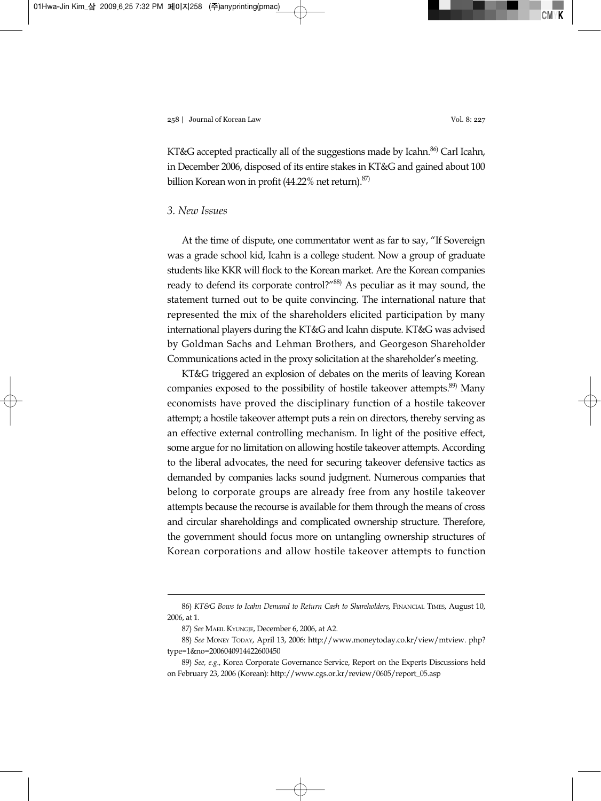KT&G accepted practically all of the suggestions made by Icahn.<sup>86)</sup> Carl Icahn, in December 2006, disposed of its entire stakes in KT&G and gained about 100 billion Korean won in profit (44.22% net return). 87)

### *3. New Issues*

At the time of dispute, one commentator went as far to say, "If Sovereign was a grade school kid, Icahn is a college student. Now a group of graduate students like KKR will flock to the Korean market. Are the Korean companies ready to defend its corporate control?"88) As peculiar as it may sound, the statement turned out to be quite convincing. The international nature that represented the mix of the shareholders elicited participation by many international players during the KT&G and Icahn dispute. KT&G was advised by Goldman Sachs and Lehman Brothers, and Georgeson Shareholder Communications acted in the proxy solicitation at the shareholder's meeting.

KT&G triggered an explosion of debates on the merits of leaving Korean companies exposed to the possibility of hostile takeover attempts.<sup>89)</sup> Many economists have proved the disciplinary function of a hostile takeover attempt; a hostile takeover attempt puts a rein on directors, thereby serving as an effective external controlling mechanism. In light of the positive effect, some argue for no limitation on allowing hostile takeover attempts. According to the liberal advocates, the need for securing takeover defensive tactics as demanded by companies lacks sound judgment. Numerous companies that belong to corporate groups are already free from any hostile takeover attempts because the recourse is available for them through the means of cross and circular shareholdings and complicated ownership structure. Therefore, the government should focus more on untangling ownership structures of Korean corporations and allow hostile takeover attempts to function

<sup>86)</sup> KT&G Bows to Icahn Demand to Return Cash to Shareholders, FINANCIAL TIMES, August 10, 2006, at 1.

<sup>87)</sup> *See* MAEIL KYUNGJE, December 6, 2006, at A2.

<sup>88)</sup> *See* MONEY TODAY, April 13, 2006: http://www.moneytoday.co.kr/view/mtview. php? type=1&no=2006040914422600450

<sup>89)</sup> *See, e.g*., Korea Corporate Governance Service, Report on the Experts Discussions held on February 23, 2006 (Korean): http://www.cgs.or.kr/review/0605/report\_05.asp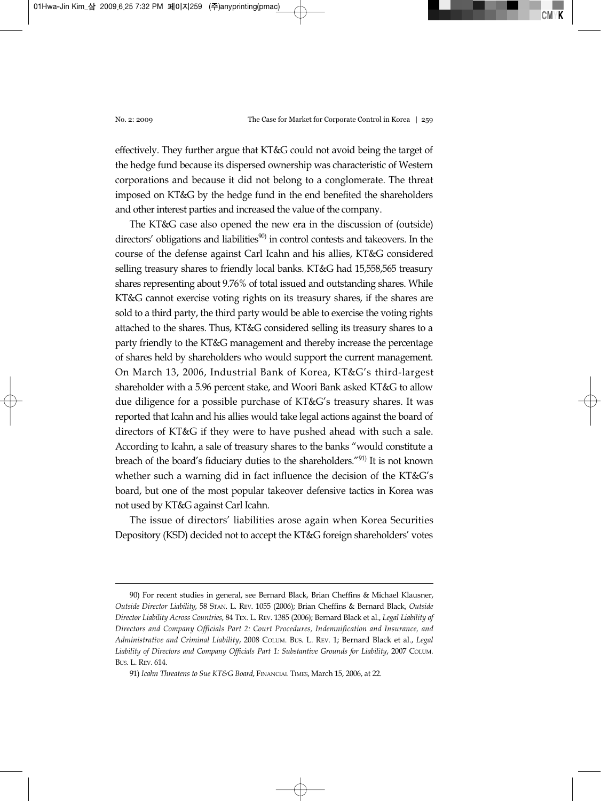effectively. They further argue that KT&G could not avoid being the target of the hedge fund because its dispersed ownership was characteristic of Western corporations and because it did not belong to a conglomerate. The threat imposed on KT&G by the hedge fund in the end benefited the shareholders and other interest parties and increased the value of the company.

The KT&G case also opened the new era in the discussion of (outside) directors' obligations and liabilities $90$  in control contests and takeovers. In the course of the defense against Carl Icahn and his allies, KT&G considered selling treasury shares to friendly local banks. KT&G had 15,558,565 treasury shares representing about 9.76% of total issued and outstanding shares. While KT&G cannot exercise voting rights on its treasury shares, if the shares are sold to a third party, the third party would be able to exercise the voting rights attached to the shares. Thus, KT&G considered selling its treasury shares to a party friendly to the KT&G management and thereby increase the percentage of shares held by shareholders who would support the current management. On March 13, 2006, Industrial Bank of Korea, KT&G's third-largest shareholder with a 5.96 percent stake, and Woori Bank asked KT&G to allow due diligence for a possible purchase of KT&G's treasury shares. It was reported that Icahn and his allies would take legal actions against the board of directors of KT&G if they were to have pushed ahead with such a sale. According to Icahn, a sale of treasury shares to the banks "would constitute a breach of the board's fiduciary duties to the shareholders."91) It is not known whether such a warning did in fact influence the decision of the KT&G's board, but one of the most popular takeover defensive tactics in Korea was not used by KT&G against Carl Icahn.

The issue of directors' liabilities arose again when Korea Securities Depository (KSD) decided not to accept the KT&G foreign shareholders' votes

<sup>90)</sup> For recent studies in general, see Bernard Black, Brian Cheffins & Michael Klausner, *Outside Director Liability*, 58 STAN. L. REV. 1055 (2006); Brian Cheffins & Bernard Black, *Outside Director Liability Across Countries*, 84 TEX. L. REV. 1385 (2006); Bernard Black et al., *Legal Liability of Directors and Company Officials Part 2: Court Procedures, Indemnification and Insurance, and Administrative and Criminal Liability*, 2008 COLUM. BUS. L. REV. 1; Bernard Black et al., *Legal Liability of Directors and Company Officials Part 1: Substantive Grounds for Liability*, 2007 COLUM. BUS. L. REV. 614.

<sup>91)</sup> *Icahn Threatens to Sue KT&G Board*, FINANCIAL TIMES, March 15, 2006, at 22.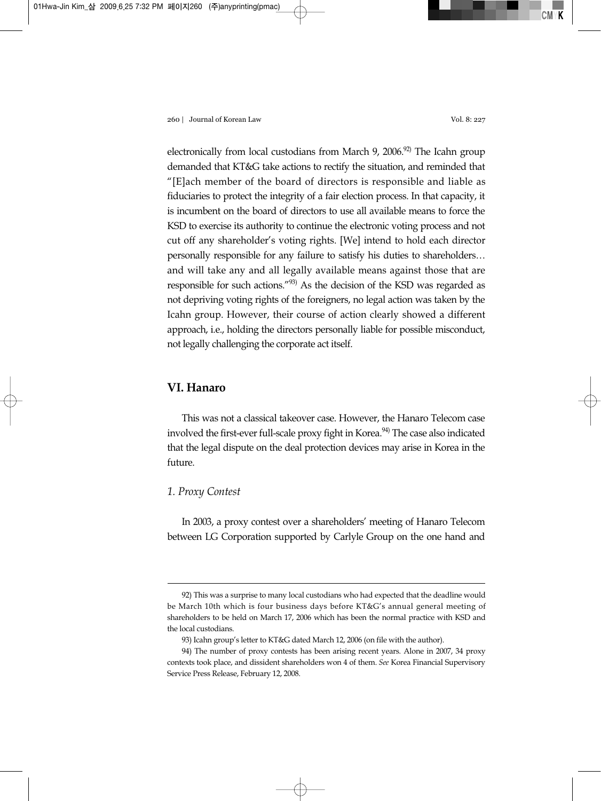electronically from local custodians from March 9, 2006.<sup>92)</sup> The Icahn group demanded that KT&G take actions to rectify the situation, and reminded that "[E]ach member of the board of directors is responsible and liable as fiduciaries to protect the integrity of a fair election process. In that capacity, it is incumbent on the board of directors to use all available means to force the KSD to exercise its authority to continue the electronic voting process and not cut off any shareholder's voting rights. [We] intend to hold each director personally responsible for any failure to satisfy his duties to shareholders… and will take any and all legally available means against those that are responsible for such actions."93) As the decision of the KSD was regarded as not depriving voting rights of the foreigners, no legal action was taken by the Icahn group. However, their course of action clearly showed a different approach, i.e., holding the directors personally liable for possible misconduct, not legally challenging the corporate act itself.

### **VI. Hanaro**

This was not a classical takeover case. However, the Hanaro Telecom case involved the first-ever full-scale proxy fight in Korea.<sup>94</sup> The case also indicated that the legal dispute on the deal protection devices may arise in Korea in the future.

### *1. Proxy Contest*

In 2003, a proxy contest over a shareholders' meeting of Hanaro Telecom between LG Corporation supported by Carlyle Group on the one hand and

<sup>92)</sup> This was a surprise to many local custodians who had expected that the deadline would be March 10th which is four business days before KT&G's annual general meeting of shareholders to be held on March 17, 2006 which has been the normal practice with KSD and the local custodians.

<sup>93)</sup> Icahn group's letter to KT&G dated March 12, 2006 (on file with the author).

<sup>94)</sup> The number of proxy contests has been arising recent years. Alone in 2007, 34 proxy contexts took place, and dissident shareholders won 4 of them. *See* Korea Financial Supervisory Service Press Release, February 12, 2008.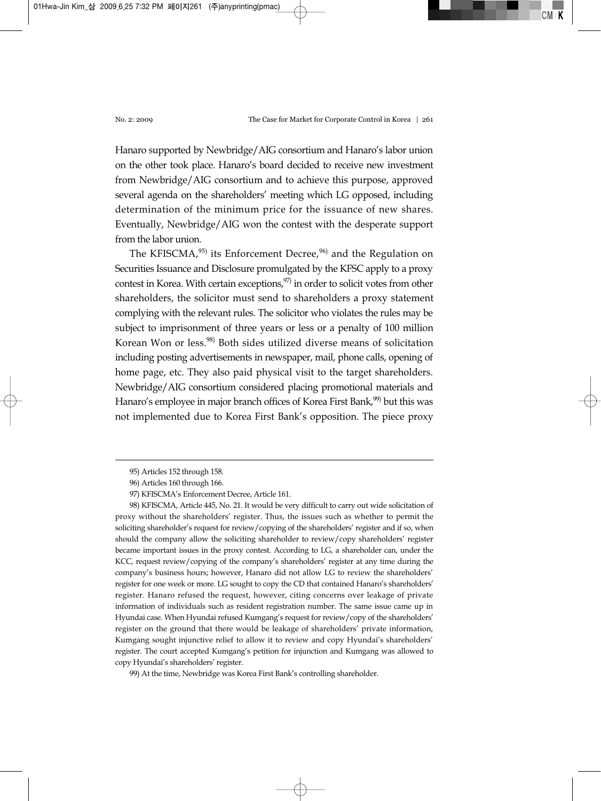Hanaro supported by Newbridge/AIG consortium and Hanaro's labor union on the other took place. Hanaro's board decided to receive new investment from Newbridge/AIG consortium and to achieve this purpose, approved several agenda on the shareholders' meeting which LG opposed, including determination of the minimum price for the issuance of new shares. Eventually, Newbridge/AIG won the contest with the desperate support from the labor union.

The KFISCMA, $95$  its Enforcement Decree, $96$  and the Regulation on Securities Issuance and Disclosure promulgated by the KFSC apply to a proxy contest in Korea. With certain exceptions, $97$  in order to solicit votes from other shareholders, the solicitor must send to shareholders a proxy statement complying with the relevant rules. The solicitor who violates the rules may be subject to imprisonment of three years or less or a penalty of 100 million Korean Won or less.98) Both sides utilized diverse means of solicitation including posting advertisements in newspaper, mail, phone calls, opening of home page, etc. They also paid physical visit to the target shareholders. Newbridge/AIG consortium considered placing promotional materials and Hanaro's employee in major branch offices of Korea First Bank,<sup>99</sup> but this was not implemented due to Korea First Bank's opposition. The piece proxy

<sup>95)</sup> Articles 152 through 158.

<sup>96)</sup> Articles 160 through 166.

<sup>97)</sup> KFISCMA's Enforcement Decree, Article 161.

<sup>98)</sup> KFISCMA, Article 445, No. 21. It would be very difficult to carry out wide solicitation of proxy without the shareholders' register. Thus, the issues such as whether to permit the soliciting shareholder's request for review/copying of the shareholders' register and if so, when should the company allow the soliciting shareholder to review/copy shareholders' register became important issues in the proxy contest. According to LG, a shareholder can, under the KCC, request review/copying of the company's shareholders' register at any time during the company's business hours; however, Hanaro did not allow LG to review the shareholders' register for one week or more. LG sought to copy the CD that contained Hanaro's shareholders' register. Hanaro refused the request, however, citing concerns over leakage of private information of individuals such as resident registration number. The same issue came up in Hyundai case. When Hyundai refused Kumgang's request for review/copy of the shareholders' register on the ground that there would be leakage of shareholders' private information, Kumgang sought injunctive relief to allow it to review and copy Hyundai's shareholders' register. The court accepted Kumgang's petition for injunction and Kumgang was allowed to copy Hyundai's shareholders' register.

<sup>99)</sup> At the time, Newbridge was Korea First Bank's controlling shareholder.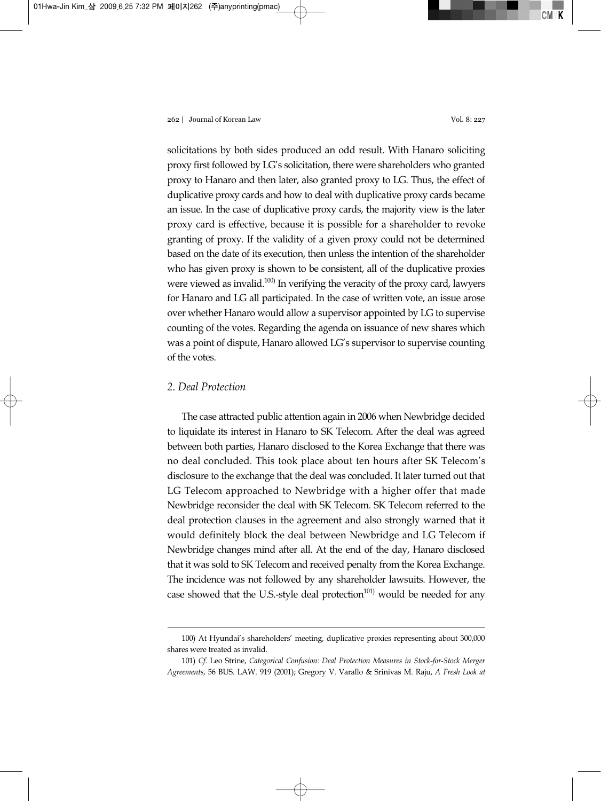solicitations by both sides produced an odd result. With Hanaro soliciting proxy first followed by LG's solicitation, there were shareholders who granted proxy to Hanaro and then later, also granted proxy to LG. Thus, the effect of duplicative proxy cards and how to deal with duplicative proxy cards became an issue. In the case of duplicative proxy cards, the majority view is the later proxy card is effective, because it is possible for a shareholder to revoke granting of proxy. If the validity of a given proxy could not be determined based on the date of its execution, then unless the intention of the shareholder who has given proxy is shown to be consistent, all of the duplicative proxies were viewed as invalid.<sup>100)</sup> In verifying the veracity of the proxy card, lawyers for Hanaro and LG all participated. In the case of written vote, an issue arose over whether Hanaro would allow a supervisor appointed by LG to supervise counting of the votes. Regarding the agenda on issuance of new shares which was a point of dispute, Hanaro allowed LG's supervisor to supervise counting of the votes.

# *2. Deal Protection*

The case attracted public attention again in 2006 when Newbridge decided to liquidate its interest in Hanaro to SK Telecom. After the deal was agreed between both parties, Hanaro disclosed to the Korea Exchange that there was no deal concluded. This took place about ten hours after SK Telecom's disclosure to the exchange that the deal was concluded. It later turned out that LG Telecom approached to Newbridge with a higher offer that made Newbridge reconsider the deal with SK Telecom. SK Telecom referred to the deal protection clauses in the agreement and also strongly warned that it would definitely block the deal between Newbridge and LG Telecom if Newbridge changes mind after all. At the end of the day, Hanaro disclosed that it was sold to SK Telecom and received penalty from the Korea Exchange. The incidence was not followed by any shareholder lawsuits. However, the case showed that the U.S.-style deal protection<sup>101)</sup> would be needed for any

<sup>100)</sup> At Hyundai's shareholders' meeting, duplicative proxies representing about 300,000 shares were treated as invalid.

<sup>101)</sup> *Cf*. Leo Strine, *Categorical Confusion: Deal Protection Measures in Stock-for-Stock Merger Agreements*, 56 BUS. LAW. 919 (2001); Gregory V. Varallo & Srinivas M. Raju, *A Fresh Look at*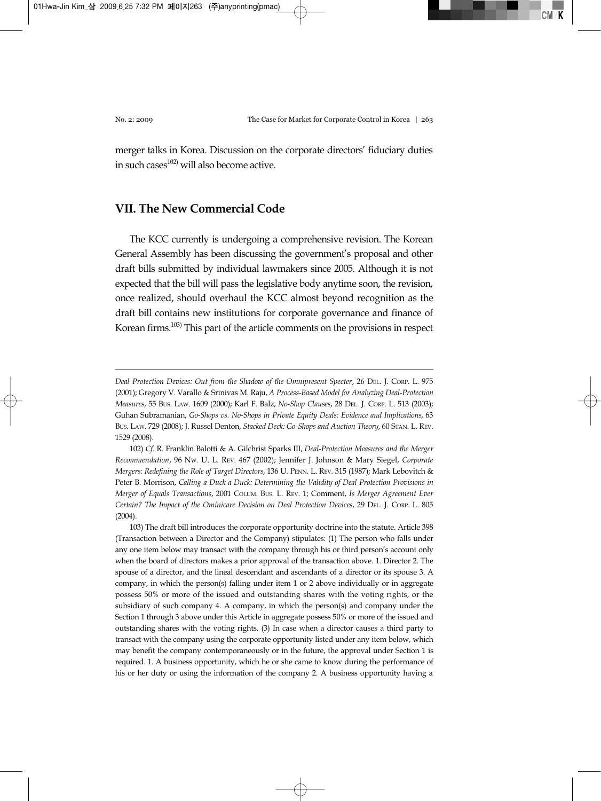merger talks in Korea. Discussion on the corporate directors' fiduciary duties in such cases $^{102)}$  will also become active.

# **VII. The New Commercial Code**

The KCC currently is undergoing a comprehensive revision. The Korean General Assembly has been discussing the government's proposal and other draft bills submitted by individual lawmakers since 2005. Although it is not expected that the bill will pass the legislative body anytime soon, the revision, once realized, should overhaul the KCC almost beyond recognition as the draft bill contains new institutions for corporate governance and finance of Korean firms.<sup>103)</sup> This part of the article comments on the provisions in respect

*Deal Protection Devices: Out from the Shadow of the Omnipresent Specter*, 26 DEL. J. CORP. L. 975 (2001); Gregory V. Varallo & Srinivas M. Raju, *A Process-Based Model for Analyzing Deal-Protection Measures*, 55 BUS. LAW. 1609 (2000); Karl F. Balz, *No-Shop Clauses*, 28 DEL. J. CORP. L. 513 (2003); Guhan Subramanian, *Go-Shops vs. No-Shops in Private Equity Deals: Evidence and Implications*, 63 BUS. LAW. 729 (2008); J. Russel Denton, *Stacked Deck: Go-Shops and Auction Theory*, 60 STAN. L. REV. 1529 (2008).

<sup>102)</sup> *Cf*. R. Franklin Balotti & A. Gilchrist Sparks III, *Deal-Protection Measures and the Merger Recommendation*, 96 NW. U. L. REV. 467 (2002); Jennifer J. Johnson & Mary Siegel, *Corporate Mergers: Redefining the Role of Target Directors*, 136 U. PENN. L. REV. 315 (1987); Mark Lebovitch & Peter B. Morrison, *Calling a Duck a Duck: Determining the Validity of Deal Protection Provisions in Merger of Equals Transactions*, 2001 COLUM. BUS. L. REV. 1; Comment, *Is Merger Agreement Ever Certain? The Impact of the Ominicare Decision on Deal Protection Devices*, 29 DEL. J. CORP. L. 805 (2004).

<sup>103)</sup> The draft bill introduces the corporate opportunity doctrine into the statute. Article 398 (Transaction between a Director and the Company) stipulates: (1) The person who falls under any one item below may transact with the company through his or third person's account only when the board of directors makes a prior approval of the transaction above. 1. Director 2. The spouse of a director, and the lineal descendant and ascendants of a director or its spouse 3. A company, in which the person(s) falling under item 1 or 2 above individually or in aggregate possess 50% or more of the issued and outstanding shares with the voting rights, or the subsidiary of such company 4. A company, in which the person(s) and company under the Section 1 through 3 above under this Article in aggregate possess 50% or more of the issued and outstanding shares with the voting rights. (3) In case when a director causes a third party to transact with the company using the corporate opportunity listed under any item below, which may benefit the company contemporaneously or in the future, the approval under Section 1 is required. 1. A business opportunity, which he or she came to know during the performance of his or her duty or using the information of the company 2. A business opportunity having a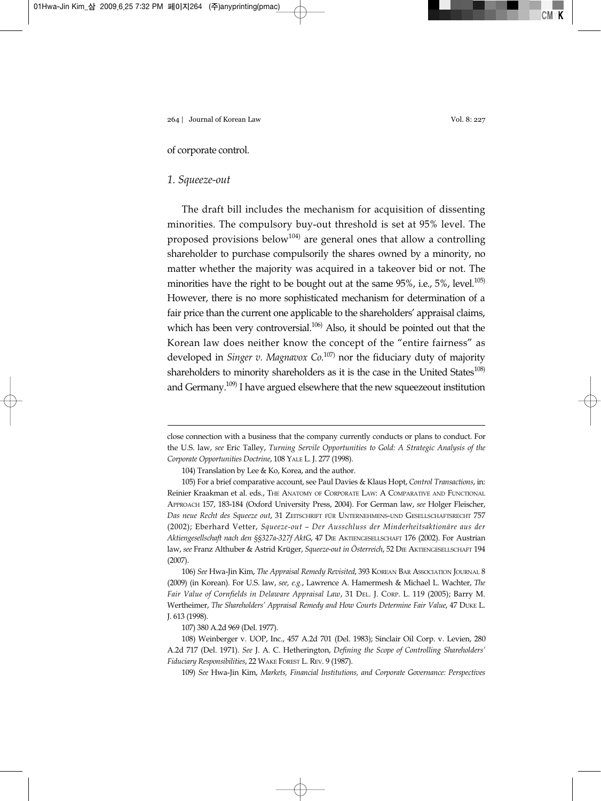#### of corporate control.

### *1. Squeeze-out*

The draft bill includes the mechanism for acquisition of dissenting minorities. The compulsory buy-out threshold is set at 95% level. The proposed provisions below<sup>104)</sup> are general ones that allow a controlling shareholder to purchase compulsorily the shares owned by a minority, no matter whether the majority was acquired in a takeover bid or not. The minorities have the right to be bought out at the same  $95\%$ , i.e.,  $5\%$ , level.<sup>105)</sup> However, there is no more sophisticated mechanism for determination of a fair price than the current one applicable to the shareholders' appraisal claims, which has been very controversial.<sup>106</sup> Also, it should be pointed out that the Korean law does neither know the concept of the "entire fairness" as developed in *Singer v. Magnavox Co*. 107) nor the fiduciary duty of majority shareholders to minority shareholders as it is the case in the United States<sup>108)</sup> and Germany.109) I have argued elsewhere that the new squeezeout institution

close connection with a business that the company currently conducts or plans to conduct. For the U.S. law, *see* Eric Talley, *Turning Servile Opportunities to Gold: A Strategic Analysis of the Corporate Opportunities Doctrine*, 108 YALE L. J. 277 (1998).

<sup>104)</sup> Translation by Lee & Ko, Korea, and the author.

<sup>105)</sup> For a brief comparative account, see Paul Davies & Klaus Hopt, *Control Transactions*, in: Reinier Kraakman et al. eds., THE ANATOMY OF CORPORATE LAW: A COMPARATIVE AND FUNCTIONAL APPROACH 157, 183-184 (Oxford University Press, 2004). For German law, *see* Holger Fleischer, *Das neue Recht des Squeeze out*, 31 ZEITSCHRIFT FÜR UNTERNEHMENS-UND GESELLSCHAFTSRECHT 757 (2002); Eberhard Vetter, *Squeeze-out – Der Ausschluss der Minderheitsaktionäre aus der Aktiengesellschaft nach den §§327a-327f AktG*, 47 DIE AKTIENGESELLSCHAFT 176 (2002). For Austrian law, *see* Franz Althuber & Astrid Krüger, *Squeeze-out in Österreich*, 52 DIE AKTIENGESELLSCHAFT 194 (2007).

<sup>106)</sup> *See* Hwa-Jin Kim, *The Appraisal Remedy Revisited*, 393 KOREAN BAR ASSOCIATION JOURNAL 8 (2009) (in Korean). For U.S. law, *see, e.g.*, Lawrence A. Hamermesh & Michael L. Wachter, *The Fair Value of Cornfields in Delaware Appraisal Law*, 31 DEL. J. CORP. L. 119 (2005); Barry M. Wertheimer, *The Shareholders' Appraisal Remedy and How Courts Determine Fair Value*, 47 DUKE L. J. 613 (1998).

<sup>107) 380</sup> A.2d 969 (Del. 1977).

<sup>108)</sup> Weinberger v. UOP, Inc., 457 A.2d 701 (Del. 1983); Sinclair Oil Corp. v. Levien, 280 A.2d 717 (Del. 1971). *See* J. A. C. Hetherington, *Defining the Scope of Controlling Shareholders' Fiduciary Responsibilities*, 22 WAKE FOREST L. REV. 9 (1987).

<sup>109)</sup> *See* Hwa-Jin Kim, *Markets, Financial Institutions, and Corporate Governance: Perspectives*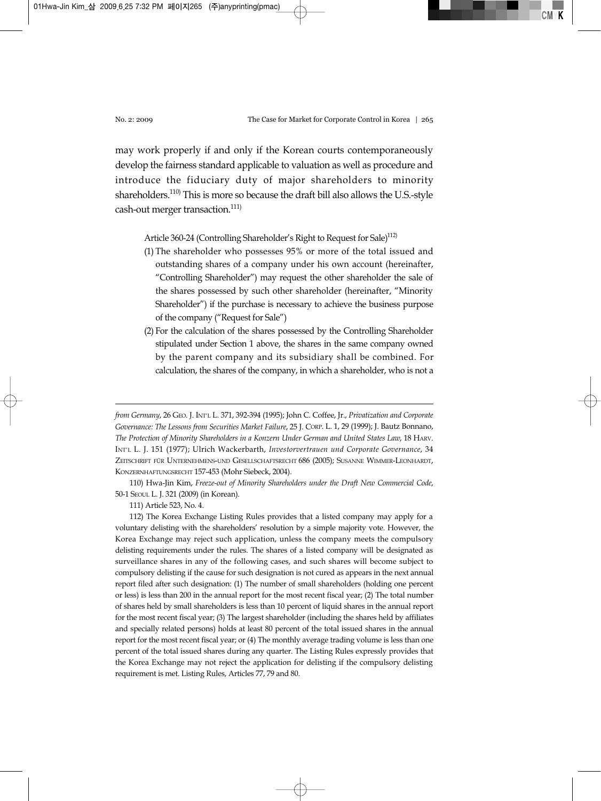may work properly if and only if the Korean courts contemporaneously develop the fairness standard applicable to valuation as well as procedure and introduce the fiduciary duty of major shareholders to minority shareholders.<sup>110)</sup> This is more so because the draft bill also allows the U.S.-style cash-out merger transaction.<sup>111)</sup>

Article 360-24 (Controlling Shareholder's Right to Request for Sale)<sup>112)</sup>

- (1) The shareholder who possesses 95% or more of the total issued and outstanding shares of a company under his own account (hereinafter, "Controlling Shareholder") may request the other shareholder the sale of the shares possessed by such other shareholder (hereinafter, "Minority Shareholder") if the purchase is necessary to achieve the business purpose of the company ("Request for Sale")
- (2) For the calculation of the shares possessed by the Controlling Shareholder stipulated under Section 1 above, the shares in the same company owned by the parent company and its subsidiary shall be combined. For calculation, the shares of the company, in which a shareholder, who is not a

110) Hwa-Jin Kim, *Freeze-out of Minority Shareholders under the Draft New Commercial Code*, 50-1 SEOUL L. J. 321 (2009) (in Korean).

111) Article 523, No. 4.

*from Germany*, 26 GEO. J. INT'L L. 371, 392-394 (1995); John C. Coffee, Jr., *Privatization and Corporate Governance: The Lessons from Securities Market Failure*, 25 J. CORP. L. 1, 29 (1999); J. Bautz Bonnano, *The Protection of Minority Shareholders in a Konzern Under German and United States Law*, 18 HARV. INT'L L. J. 151 (1977); Ulrich Wackerbarth, *Investorvertrauen und Corporate Governance*, 34 ZEITSCHRIFT FÜR UNTERNEHMENS-UND GESELLSCHAFTSRECHT 686 (2005); SUSANNE WIMMER-LEONHARDT, KONZERNHAFTUNGSRECHT 157-453 (Mohr Siebeck, 2004).

<sup>112)</sup> The Korea Exchange Listing Rules provides that a listed company may apply for a voluntary delisting with the shareholders' resolution by a simple majority vote. However, the Korea Exchange may reject such application, unless the company meets the compulsory delisting requirements under the rules. The shares of a listed company will be designated as surveillance shares in any of the following cases, and such shares will become subject to compulsory delisting if the cause for such designation is not cured as appears in the next annual report filed after such designation: (1) The number of small shareholders (holding one percent or less) is less than 200 in the annual report for the most recent fiscal year; (2) The total number of shares held by small shareholders is less than 10 percent of liquid shares in the annual report for the most recent fiscal year; (3) The largest shareholder (including the shares held by affiliates and specially related persons) holds at least 80 percent of the total issued shares in the annual report for the most recent fiscal year; or (4) The monthly average trading volume is less than one percent of the total issued shares during any quarter. The Listing Rules expressly provides that the Korea Exchange may not reject the application for delisting if the compulsory delisting requirement is met. Listing Rules, Articles 77, 79 and 80.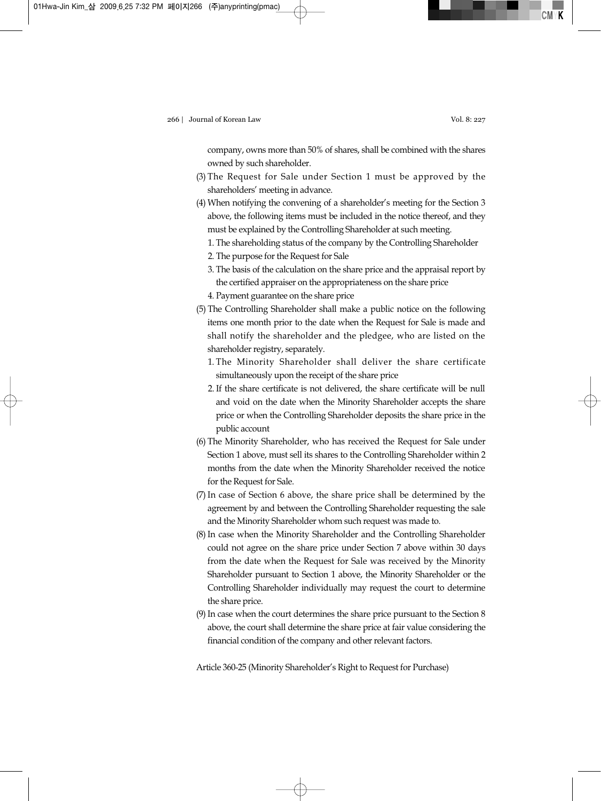company, owns more than 50% of shares, shall be combined with the shares owned by such shareholder.

- (3) The Request for Sale under Section 1 must be approved by the shareholders' meeting in advance.
- (4) When notifying the convening of a shareholder's meeting for the Section 3 above, the following items must be included in the notice thereof, and they must be explained by the Controlling Shareholder at such meeting.
	- 1. The shareholding status of the company by the Controlling Shareholder
	- 2. The purpose for the Request for Sale
	- 3. The basis of the calculation on the share price and the appraisal report by the certified appraiser on the appropriateness on the share price
	- 4. Payment guarantee on the share price
- (5) The Controlling Shareholder shall make a public notice on the following items one month prior to the date when the Request for Sale is made and shall notify the shareholder and the pledgee, who are listed on the shareholder registry, separately.
	- 1. The Minority Shareholder shall deliver the share certificate simultaneously upon the receipt of the share price
	- 2. If the share certificate is not delivered, the share certificate will be null and void on the date when the Minority Shareholder accepts the share price or when the Controlling Shareholder deposits the share price in the public account
- (6) The Minority Shareholder, who has received the Request for Sale under Section 1 above, must sell its shares to the Controlling Shareholder within 2 months from the date when the Minority Shareholder received the notice for the Request for Sale.
- (7) In case of Section 6 above, the share price shall be determined by the agreement by and between the Controlling Shareholder requesting the sale and the Minority Shareholder whom such request was made to.
- (8) In case when the Minority Shareholder and the Controlling Shareholder could not agree on the share price under Section 7 above within 30 days from the date when the Request for Sale was received by the Minority Shareholder pursuant to Section 1 above, the Minority Shareholder or the Controlling Shareholder individually may request the court to determine the share price.
- (9) In case when the court determines the share price pursuant to the Section 8 above, the court shall determine the share price at fair value considering the financial condition of the company and other relevant factors.

Article 360-25 (Minority Shareholder's Right to Request for Purchase)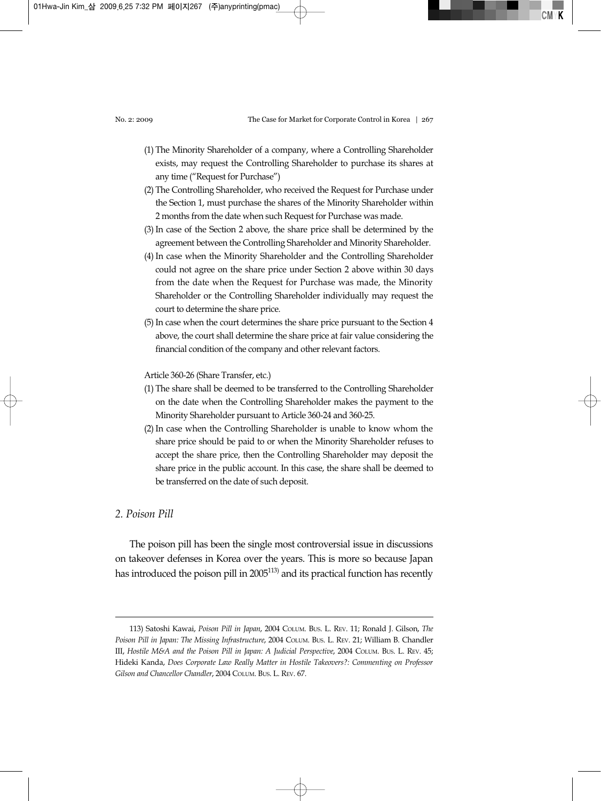- (1) The Minority Shareholder of a company, where a Controlling Shareholder exists, may request the Controlling Shareholder to purchase its shares at any time ("Request for Purchase")
- (2) The Controlling Shareholder, who received the Request for Purchase under the Section 1, must purchase the shares of the Minority Shareholder within 2 months from the date when such Request for Purchase was made.
- (3) In case of the Section 2 above, the share price shall be determined by the agreement between the Controlling Shareholder and Minority Shareholder.
- (4) In case when the Minority Shareholder and the Controlling Shareholder could not agree on the share price under Section 2 above within 30 days from the date when the Request for Purchase was made, the Minority Shareholder or the Controlling Shareholder individually may request the court to determine the share price.
- (5) In case when the court determines the share price pursuant to the Section 4 above, the court shall determine the share price at fair value considering the financial condition of the company and other relevant factors.

#### Article 360-26 (Share Transfer, etc.)

- (1) The share shall be deemed to be transferred to the Controlling Shareholder on the date when the Controlling Shareholder makes the payment to the Minority Shareholder pursuant to Article 360-24 and 360-25.
- (2) In case when the Controlling Shareholder is unable to know whom the share price should be paid to or when the Minority Shareholder refuses to accept the share price, then the Controlling Shareholder may deposit the share price in the public account. In this case, the share shall be deemed to be transferred on the date of such deposit.

### *2. Poison Pill*

The poison pill has been the single most controversial issue in discussions on takeover defenses in Korea over the years. This is more so because Japan has introduced the poison pill in 2005<sup>113)</sup> and its practical function has recently

<sup>113)</sup> Satoshi Kawai, *Poison Pill in Japan*, 2004 COLUM. BUS. L. REV. 11; Ronald J. Gilson, *The Poison Pill in Japan: The Missing Infrastructure*, 2004 COLUM. BUS. L. REV. 21; William B. Chandler III, *Hostile M&A and the Poison Pill in Japan: A Judicial Perspective*, 2004 COLUM. BUS. L. REV. 45; Hideki Kanda, *Does Corporate Law Really Matter in Hostile Takeovers?: Commenting on Professor Gilson and Chancellor Chandler*, 2004 COLUM. BUS. L. REV. 67.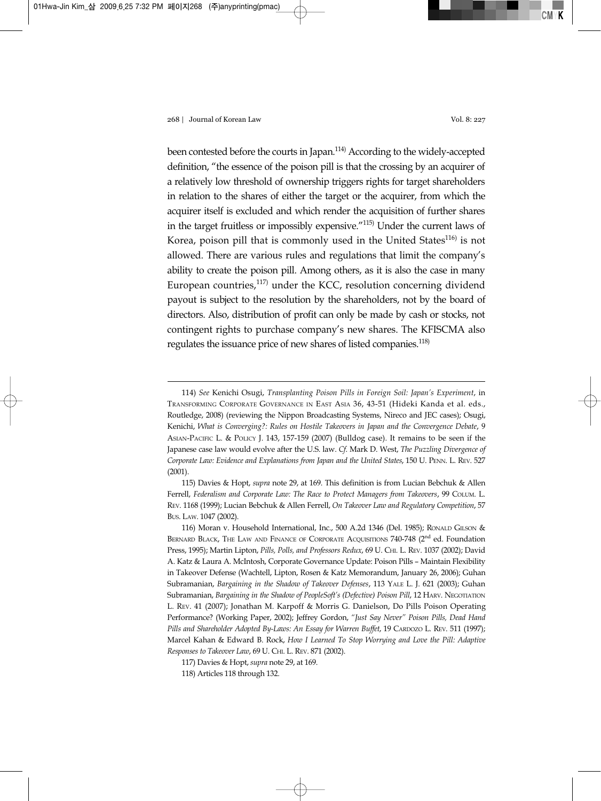been contested before the courts in Japan.<sup>114)</sup> According to the widely-accepted definition, "the essence of the poison pill is that the crossing by an acquirer of a relatively low threshold of ownership triggers rights for target shareholders in relation to the shares of either the target or the acquirer, from which the acquirer itself is excluded and which render the acquisition of further shares in the target fruitless or impossibly expensive."115) Under the current laws of Korea, poison pill that is commonly used in the United States<sup>116)</sup> is not allowed. There are various rules and regulations that limit the company's ability to create the poison pill. Among others, as it is also the case in many European countries,<sup>117)</sup> under the KCC, resolution concerning dividend payout is subject to the resolution by the shareholders, not by the board of directors. Also, distribution of profit can only be made by cash or stocks, not contingent rights to purchase company's new shares. The KFISCMA also regulates the issuance price of new shares of listed companies.<sup>118)</sup>

<sup>114)</sup> *See* Kenichi Osugi, *Transplanting Poison Pills in Foreign Soil: Japan's Experiment*, in TRANSFORMING CORPORATE GOVERNANCE IN EAST ASIA 36, 43-51 (Hideki Kanda et al. eds., Routledge, 2008) (reviewing the Nippon Broadcasting Systems, Nireco and JEC cases); Osugi, Kenichi, *What is Converging?: Rules on Hostile Takeovers in Japan and the Convergence Debate*, 9 ASIAN-PACIFIC L. & POLICY J. 143, 157-159 (2007) (Bulldog case). It remains to be seen if the Japanese case law would evolve after the U.S. law. *Cf*. Mark D. West, *The Puzzling Divergence of Corporate Law: Evidence and Explanations from Japan and the United States*, 150 U. PENN. L. REV. 527 (2001).

<sup>115)</sup> Davies & Hopt, *supra* note 29, at 169. This definition is from Lucian Bebchuk & Allen Ferrell, *Federalism and Corporate Law: The Race to Protect Managers from Takeovers*, 99 COLUM. L. REV. 1168 (1999); Lucian Bebchuk & Allen Ferrell, *On Takeover Law and Regulatory Competition*, 57 BUS. LAW. 1047 (2002).

<sup>116)</sup> Moran v. Household International, Inc., 500 A.2d 1346 (Del. 1985); RONALD GILSON & BERNARD BLACK, THE LAW AND FINANCE OF CORPORATE ACQUISITIONS 740-748 (2<sup>nd</sup> ed. Foundation Press, 1995); Martin Lipton, *Pills, Polls, and Professors Redux*, 69 U. CHI. L. REV. 1037 (2002); David A. Katz & Laura A. McIntosh, Corporate Governance Update: Poison Pills – Maintain Flexibility in Takeover Defense (Wachtell, Lipton, Rosen & Katz Memorandum, January 26, 2006); Guhan Subramanian, *Bargaining in the Shadow of Takeover Defenses*, 113 YALE L. J. 621 (2003); Guhan Subramanian, *Bargaining in the Shadow of PeopleSoft's (Defective) Poison Pill*, 12 HARV. NEGOTIATION L. REV. 41 (2007); Jonathan M. Karpoff & Morris G. Danielson, Do Pills Poison Operating Performance? (Working Paper, 2002); Jeffrey Gordon, *"Just Say Never" Poison Pills, Dead Hand* Pills and Shareholder Adopted By-Laws: An Essay for Warren Buffet, 19 CARDOZO L. REV. 511 (1997); Marcel Kahan & Edward B. Rock, *How I Learned To Stop Worrying and Love the Pill: Adaptive Responses to Takeover Law*, 69 U. CHI. L. REV. 871 (2002).

<sup>117)</sup> Davies & Hopt, *supra* note 29, at 169.

<sup>118)</sup> Articles 118 through 132.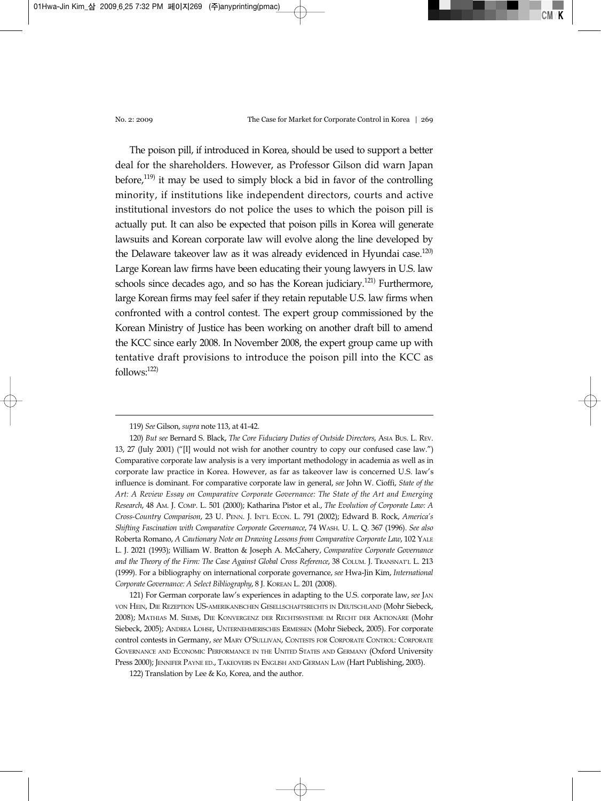The poison pill, if introduced in Korea, should be used to support a better deal for the shareholders. However, as Professor Gilson did warn Japan before,<sup>119)</sup> it may be used to simply block a bid in favor of the controlling minority, if institutions like independent directors, courts and active institutional investors do not police the uses to which the poison pill is actually put. It can also be expected that poison pills in Korea will generate lawsuits and Korean corporate law will evolve along the line developed by the Delaware takeover law as it was already evidenced in Hyundai case.<sup>120)</sup> Large Korean law firms have been educating their young lawyers in U.S. law schools since decades ago, and so has the Korean judiciary.<sup>121)</sup> Furthermore, large Korean firms may feel safer if they retain reputable U.S. law firms when confronted with a control contest. The expert group commissioned by the Korean Ministry of Justice has been working on another draft bill to amend the KCC since early 2008. In November 2008, the expert group came up with tentative draft provisions to introduce the poison pill into the KCC as  $follows<sup>.122)</sup>$ 

121) For German corporate law's experiences in adapting to the U.S. corporate law, *see* JAN VON HEIN, DIE REZEPTION US-AMERIKANISCHEN GESELLSCHAFTSRECHTS IN DEUTSCHLAND (Mohr Siebeck, 2008); MATHIAS M. SIEMS, DIE KONVERGENZ DER RECHTSSYSTEME IM RECHT DER AKTIONÄRE (Mohr Siebeck, 2005); ANDREA LOHSE, UNTERNEHMERISCHES ERMESSEN (Mohr Siebeck, 2005). For corporate control contests in Germany, *see* MARY O'SULLIVAN, CONTESTS FOR CORPORATE CONTROL: CORPORATE GOVERNANCE AND ECONOMIC PERFORMANCE IN THE UNITED STATES AND GERMANY (Oxford University Press 2000); JENNIFER PAYNE ED., TAKEOVERS IN ENGLISH AND GERMAN LAW (Hart Publishing, 2003).

<sup>119)</sup> *See* Gilson, *supra* note 113, at 41-42.

<sup>120)</sup> *But see* Bernard S. Black, *The Core Fiduciary Duties of Outside Directors*, ASIA BUS. L. REV. 13, 27 (July 2001) ("[I] would not wish for another country to copy our confused case law.") Comparative corporate law analysis is a very important methodology in academia as well as in corporate law practice in Korea. However, as far as takeover law is concerned U.S. law's influence is dominant. For comparative corporate law in general, *see* John W. Cioffi, *State of the Art: A Review Essay on Comparative Corporate Governance: The State of the Art and Emerging Research*, 48 AM. J. COMP. L. 501 (2000); Katharina Pistor et al., *The Evolution of Corporate Law: A Cross-Country Comparison*, 23 U. PENN. J. INT'L ECON. L. 791 (2002); Edward B. Rock, *America's Shifting Fascination with Comparative Corporate Governance*, 74 WASH. U. L. Q. 367 (1996). *See also* Roberta Romano, *A Cautionary Note on Drawing Lessons from Comparative Corporate Law*, 102 YALE L. J. 2021 (1993); William W. Bratton & Joseph A. McCahery, *Comparative Corporate Governance and the Theory of the Firm: The Case Against Global Cross Reference*, 38 COLUM. J. TRANSNAT'L L. 213 (1999). For a bibliography on international corporate governance, *see* Hwa-Jin Kim, *International Corporate Governance: A Select Bibliography*, 8 J. KOREAN L. 201 (2008).

<sup>122)</sup> Translation by Lee & Ko, Korea, and the author.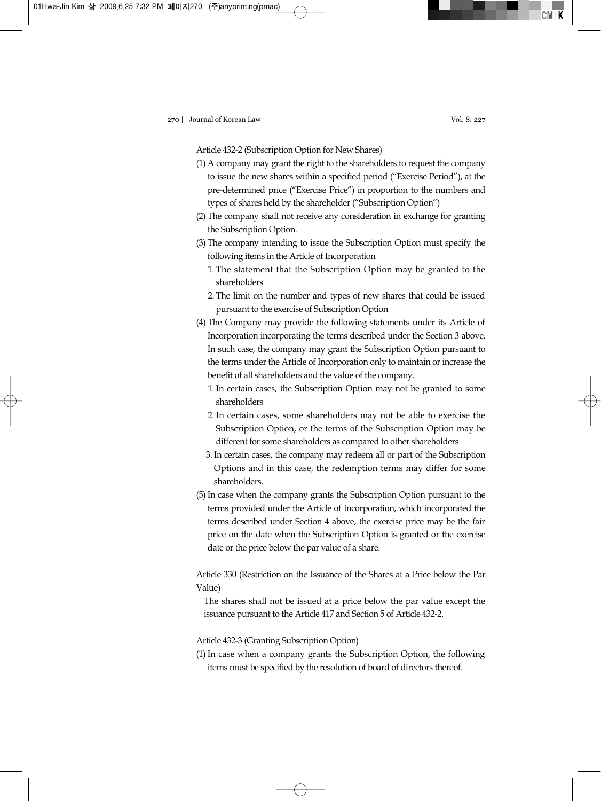Article 432-2 (Subscription Option for New Shares)

- (1) A company may grant the right to the shareholders to request the company to issue the new shares within a specified period ("Exercise Period"), at the pre-determined price ("Exercise Price") in proportion to the numbers and types of shares held by the shareholder ("Subscription Option")
- (2) The company shall not receive any consideration in exchange for granting the Subscription Option.
- (3) The company intending to issue the Subscription Option must specify the following items in the Article of Incorporation
	- 1. The statement that the Subscription Option may be granted to the shareholders
	- 2. The limit on the number and types of new shares that could be issued pursuant to the exercise of Subscription Option
- (4) The Company may provide the following statements under its Article of Incorporation incorporating the terms described under the Section 3 above. In such case, the company may grant the Subscription Option pursuant to the terms under the Article of Incorporation only to maintain or increase the benefit of all shareholders and the value of the company.
	- 1. In certain cases, the Subscription Option may not be granted to some shareholders
	- 2. In certain cases, some shareholders may not be able to exercise the Subscription Option, or the terms of the Subscription Option may be different for some shareholders as compared to other shareholders
	- 3. In certain cases, the company may redeem all or part of the Subscription Options and in this case, the redemption terms may differ for some shareholders.
- (5) In case when the company grants the Subscription Option pursuant to the terms provided under the Article of Incorporation, which incorporated the terms described under Section 4 above, the exercise price may be the fair price on the date when the Subscription Option is granted or the exercise date or the price below the par value of a share.

Article 330 (Restriction on the Issuance of the Shares at a Price below the Par Value)

The shares shall not be issued at a price below the par value except the issuance pursuant to the Article 417 and Section 5 of Article 432-2.

Article 432-3 (Granting Subscription Option)

(1) In case when a company grants the Subscription Option, the following items must be specified by the resolution of board of directors thereof.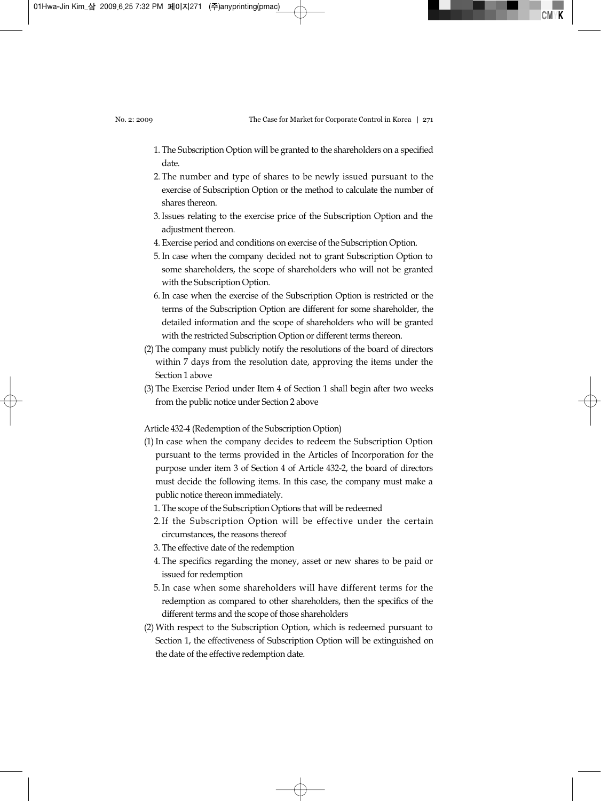- 1. The Subscription Option will be granted to the shareholders on a specified date.
- 2. The number and type of shares to be newly issued pursuant to the exercise of Subscription Option or the method to calculate the number of shares thereon.
- 3. Issues relating to the exercise price of the Subscription Option and the adjustment thereon.
- 4. Exercise period and conditions on exercise of the Subscription Option.
- 5. In case when the company decided not to grant Subscription Option to some shareholders, the scope of shareholders who will not be granted with the Subscription Option.
- 6. In case when the exercise of the Subscription Option is restricted or the terms of the Subscription Option are different for some shareholder, the detailed information and the scope of shareholders who will be granted with the restricted Subscription Option or different terms thereon.
- (2) The company must publicly notify the resolutions of the board of directors within 7 days from the resolution date, approving the items under the Section 1 above
- (3) The Exercise Period under Item 4 of Section 1 shall begin after two weeks from the public notice under Section 2 above

#### Article 432-4 (Redemption of the Subscription Option)

- (1) In case when the company decides to redeem the Subscription Option pursuant to the terms provided in the Articles of Incorporation for the purpose under item 3 of Section 4 of Article 432-2, the board of directors must decide the following items. In this case, the company must make a public notice thereon immediately.
	- 1. The scope of the Subscription Options that will be redeemed
	- 2. If the Subscription Option will be effective under the certain circumstances, the reasons thereof
	- 3. The effective date of the redemption
	- 4. The specifics regarding the money, asset or new shares to be paid or issued for redemption
	- 5. In case when some shareholders will have different terms for the redemption as compared to other shareholders, then the specifics of the different terms and the scope of those shareholders
- (2) With respect to the Subscription Option, which is redeemed pursuant to Section 1, the effectiveness of Subscription Option will be extinguished on the date of the effective redemption date.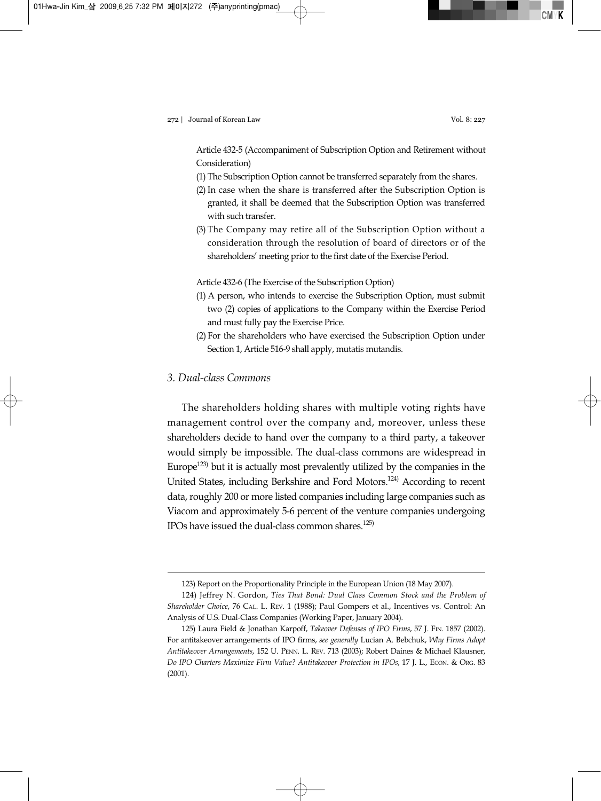Article 432-5 (Accompaniment of Subscription Option and Retirement without Consideration)

- (1) The Subscription Option cannot be transferred separately from the shares.
- (2) In case when the share is transferred after the Subscription Option is granted, it shall be deemed that the Subscription Option was transferred with such transfer.
- (3) The Company may retire all of the Subscription Option without a consideration through the resolution of board of directors or of the shareholders' meeting prior to the first date of the Exercise Period.

Article 432-6 (The Exercise of the Subscription Option)

- (1) A person, who intends to exercise the Subscription Option, must submit two (2) copies of applications to the Company within the Exercise Period and must fully pay the Exercise Price.
- (2) For the shareholders who have exercised the Subscription Option under Section 1, Article 516-9 shall apply, mutatis mutandis.

# *3. Dual-class Commons*

The shareholders holding shares with multiple voting rights have management control over the company and, moreover, unless these shareholders decide to hand over the company to a third party, a takeover would simply be impossible. The dual-class commons are widespread in Europe<sup>123)</sup> but it is actually most prevalently utilized by the companies in the United States, including Berkshire and Ford Motors.124) According to recent data, roughly 200 or more listed companies including large companies such as Viacom and approximately 5-6 percent of the venture companies undergoing IPOs have issued the dual-class common shares.125)

<sup>123)</sup> Report on the Proportionality Principle in the European Union (18 May 2007).

<sup>124)</sup> Jeffrey N. Gordon, *Ties That Bond: Dual Class Common Stock and the Problem of Shareholder Choice*, 76 CAL. L. REV. 1 (1988); Paul Gompers et al., Incentives vs. Control: An Analysis of U.S. Dual-Class Companies (Working Paper, January 2004).

<sup>125)</sup> Laura Field & Jonathan Karpoff, *Takeover Defenses of IPO Firms*, 57 J. FIN. 1857 (2002). For antitakeover arrangements of IPO firms, *see generally* Lucian A. Bebchuk, *Why Firms Adopt Antitakeover Arrangements*, 152 U. PENN. L. REV. 713 (2003); Robert Daines & Michael Klausner, *Do IPO Charters Maximize Firm Value? Antitakeover Protection in IPOs*, 17 J. L., ECON. & ORG. 83 (2001).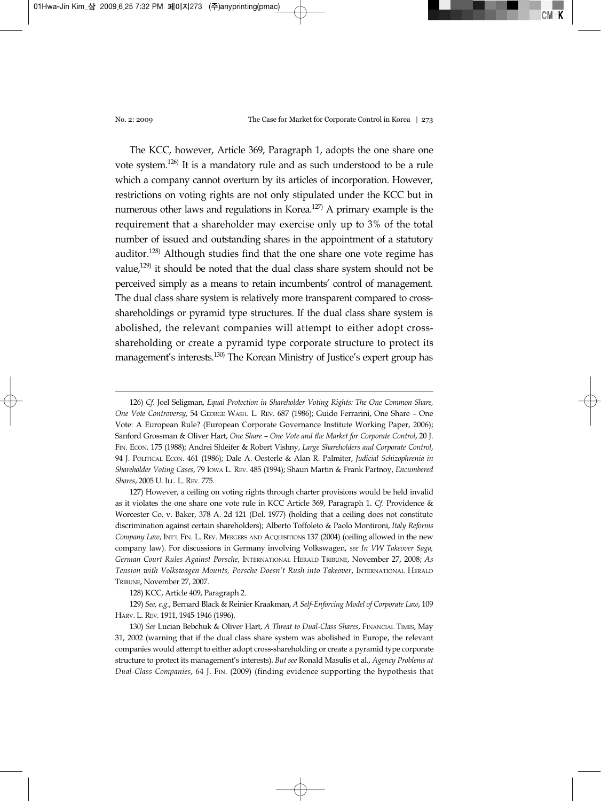The KCC, however, Article 369, Paragraph 1, adopts the one share one vote system.126) It is a mandatory rule and as such understood to be a rule which a company cannot overturn by its articles of incorporation. However, restrictions on voting rights are not only stipulated under the KCC but in numerous other laws and regulations in Korea.<sup>127)</sup> A primary example is the requirement that a shareholder may exercise only up to 3% of the total number of issued and outstanding shares in the appointment of a statutory auditor.<sup>128)</sup> Although studies find that the one share one vote regime has value, $129$  it should be noted that the dual class share system should not be perceived simply as a means to retain incumbents' control of management. The dual class share system is relatively more transparent compared to crossshareholdings or pyramid type structures. If the dual class share system is abolished, the relevant companies will attempt to either adopt crossshareholding or create a pyramid type corporate structure to protect its management's interests.<sup>130)</sup> The Korean Ministry of Justice's expert group has

<sup>126)</sup> *Cf*. Joel Seligman, *Equal Protection in Shareholder Voting Rights: The One Common Share, One Vote Controversy*, 54 GEORGE WASH. L. REV. 687 (1986); Guido Ferrarini, One Share – One Vote: A European Rule? (European Corporate Governance Institute Working Paper, 2006); Sanford Grossman & Oliver Hart, *One Share – One Vote and the Market for Corporate Control*, 20 J. FIN. ECON. 175 (1988); Andrei Shleifer & Robert Vishny, *Large Shareholders and Corporate Control*, 94 J. POLITICAL ECON. 461 (1986); Dale A. Oesterle & Alan R. Palmiter, *Judicial Schizophrenia in Shareholder Voting Cases*, 79 IOWA L. REV. 485 (1994); Shaun Martin & Frank Partnoy, *Encumbered Shares*, 2005 U. ILL. L. REV. 775.

<sup>127)</sup> However, a ceiling on voting rights through charter provisions would be held invalid as it violates the one share one vote rule in KCC Article 369, Paragraph 1. *Cf*. Providence & Worcester Co. v. Baker, 378 A. 2d 121 (Del. 1977) (holding that a ceiling does not constitute discrimination against certain shareholders); Alberto Toffoleto & Paolo Montironi, *Italy Reforms Company Law*, INT'L FIN. L. REV. MERGERS AND ACQUISITIONS 137 (2004) (ceiling allowed in the new company law). For discussions in Germany involving Volkswagen, *see In VW Takeover Saga, German Court Rules Against Porsche*, INTERNATIONAL HERALD TRIBUNE, November 27, 2008; *As Tension with Volkswagen Mounts, Porsche Doesn't Rush into Takeover*, INTERNATIONAL HERALD TRIBUNE, November 27, 2007.

<sup>128)</sup> KCC, Article 409, Paragraph 2.

<sup>129)</sup> *See, e.g.*, Bernard Black & Reinier Kraakman, *A Self-Enforcing Model of Corporate Law*, 109 HARV. L. REV. 1911, 1945-1946 (1996).

<sup>130)</sup> *See* Lucian Bebchuk & Oliver Hart, *A Threat to Dual-Class Shares*, FINANCIAL TIMES, May 31, 2002 (warning that if the dual class share system was abolished in Europe, the relevant companies would attempt to either adopt cross-shareholding or create a pyramid type corporate structure to protect its management's interests). *But see* Ronald Masulis et al., *Agency Problems at Dual-Class Companies*, 64 J. FIN. (2009) (finding evidence supporting the hypothesis that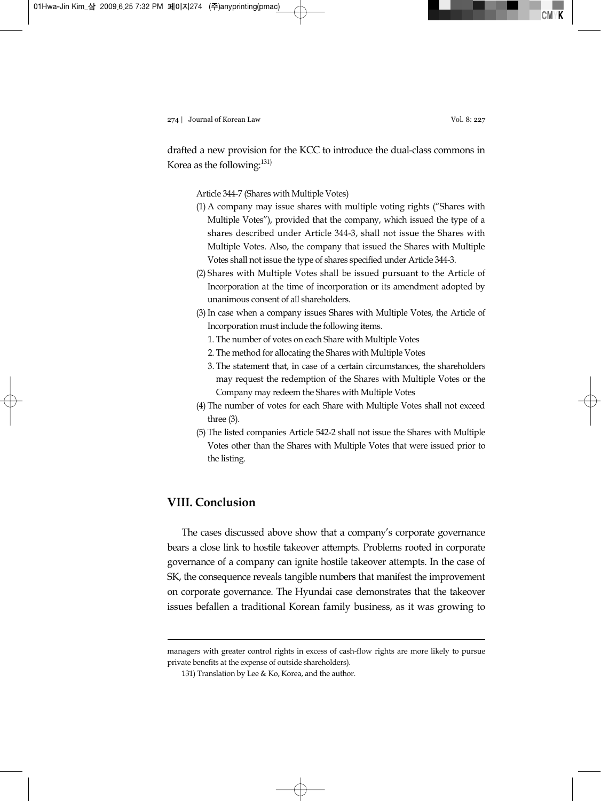drafted a new provision for the KCC to introduce the dual-class commons in Korea as the following:<sup>131)</sup>

Article 344-7 (Shares with Multiple Votes)

- (1) A company may issue shares with multiple voting rights ("Shares with Multiple Votes"), provided that the company, which issued the type of a shares described under Article 344-3, shall not issue the Shares with Multiple Votes. Also, the company that issued the Shares with Multiple Votes shall not issue the type of shares specified under Article 344-3.
- (2) Shares with Multiple Votes shall be issued pursuant to the Article of Incorporation at the time of incorporation or its amendment adopted by unanimous consent of all shareholders.
- (3) In case when a company issues Shares with Multiple Votes, the Article of Incorporation must include the following items.
	- 1. The number of votes on each Share with Multiple Votes
	- 2. The method for allocating the Shares with Multiple Votes
	- 3. The statement that, in case of a certain circumstances, the shareholders may request the redemption of the Shares with Multiple Votes or the Company may redeem the Shares with Multiple Votes
- (4) The number of votes for each Share with Multiple Votes shall not exceed three (3).
- (5) The listed companies Article 542-2 shall not issue the Shares with Multiple Votes other than the Shares with Multiple Votes that were issued prior to the listing.

# **VIII. Conclusion**

The cases discussed above show that a company's corporate governance bears a close link to hostile takeover attempts. Problems rooted in corporate governance of a company can ignite hostile takeover attempts. In the case of SK, the consequence reveals tangible numbers that manifest the improvement on corporate governance. The Hyundai case demonstrates that the takeover issues befallen a traditional Korean family business, as it was growing to

managers with greater control rights in excess of cash-flow rights are more likely to pursue private benefits at the expense of outside shareholders).

<sup>131)</sup> Translation by Lee & Ko, Korea, and the author.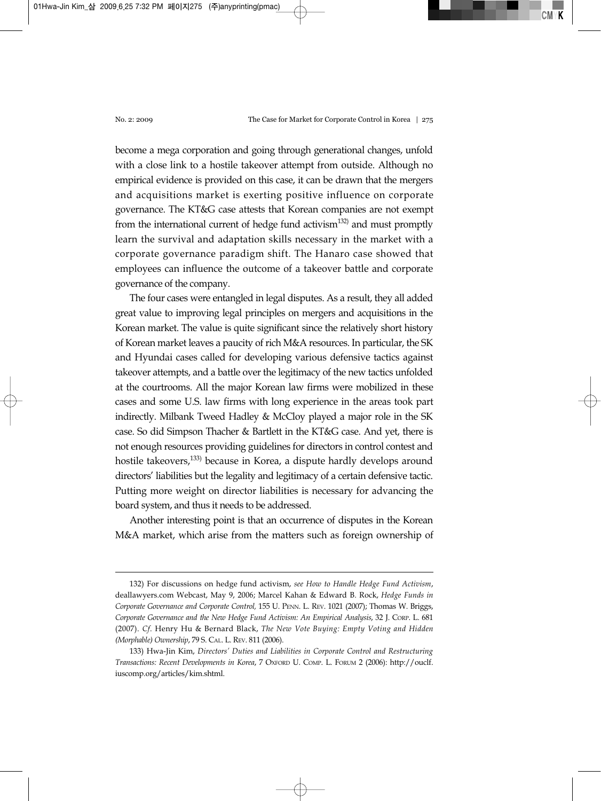become a mega corporation and going through generational changes, unfold with a close link to a hostile takeover attempt from outside. Although no empirical evidence is provided on this case, it can be drawn that the mergers and acquisitions market is exerting positive influence on corporate governance. The KT&G case attests that Korean companies are not exempt from the international current of hedge fund activism<sup>132)</sup> and must promptly learn the survival and adaptation skills necessary in the market with a corporate governance paradigm shift. The Hanaro case showed that employees can influence the outcome of a takeover battle and corporate governance of the company.

The four cases were entangled in legal disputes. As a result, they all added great value to improving legal principles on mergers and acquisitions in the Korean market. The value is quite significant since the relatively short history of Korean market leaves a paucity of rich M&A resources. In particular, the SK and Hyundai cases called for developing various defensive tactics against takeover attempts, and a battle over the legitimacy of the new tactics unfolded at the courtrooms. All the major Korean law firms were mobilized in these cases and some U.S. law firms with long experience in the areas took part indirectly. Milbank Tweed Hadley & McCloy played a major role in the SK case. So did Simpson Thacher & Bartlett in the KT&G case. And yet, there is not enough resources providing guidelines for directors in control contest and hostile takeovers,<sup>133)</sup> because in Korea, a dispute hardly develops around directors' liabilities but the legality and legitimacy of a certain defensive tactic. Putting more weight on director liabilities is necessary for advancing the board system, and thus it needs to be addressed.

Another interesting point is that an occurrence of disputes in the Korean M&A market, which arise from the matters such as foreign ownership of

<sup>132)</sup> For discussions on hedge fund activism, *see How to Handle Hedge Fund Activism*, deallawyers.com Webcast, May 9, 2006; Marcel Kahan & Edward B. Rock, *Hedge Funds in Corporate Governance and Corporate Control,* 155 U. PENN. L. REV. 1021 (2007); Thomas W. Briggs, *Corporate Governance and the New Hedge Fund Activism: An Empirical Analysis*, 32 J. CORP. L. 681 (2007). *Cf*. Henry Hu & Bernard Black, *The New Vote Buying: Empty Voting and Hidden (Morphable) Ownership*, 79 S. CAL. L. REV. 811 (2006).

<sup>133)</sup> Hwa-Jin Kim, *Directors' Duties and Liabilities in Corporate Control and Restructuring Transactions: Recent Developments in Korea*, 7 OXFORD U. COMP. L. FORUM 2 (2006): http://ouclf. iuscomp.org/articles/kim.shtml.